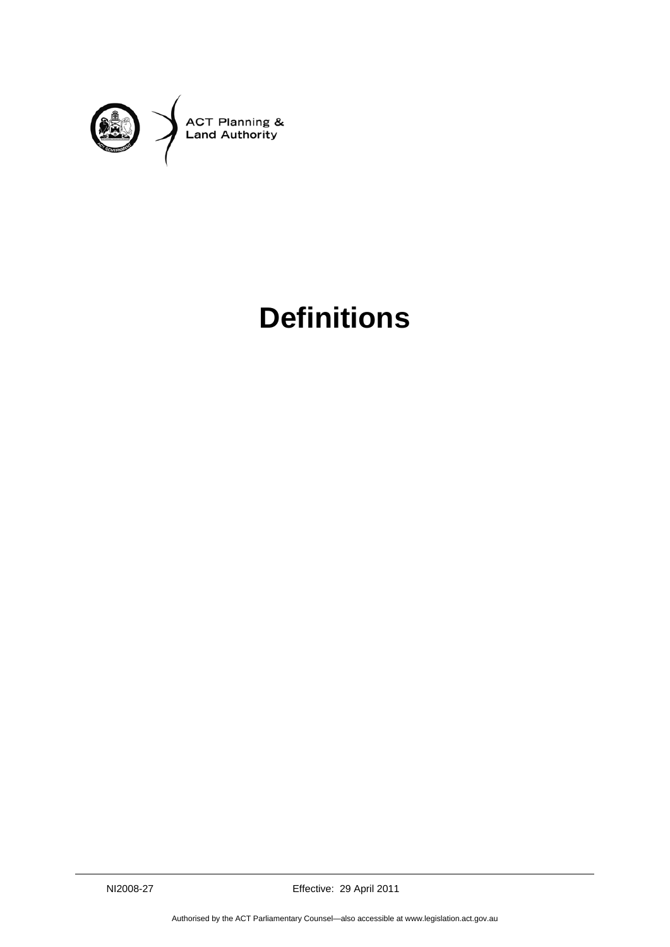

## **Definitions**

NI2008-27 Effective: 29 April 2011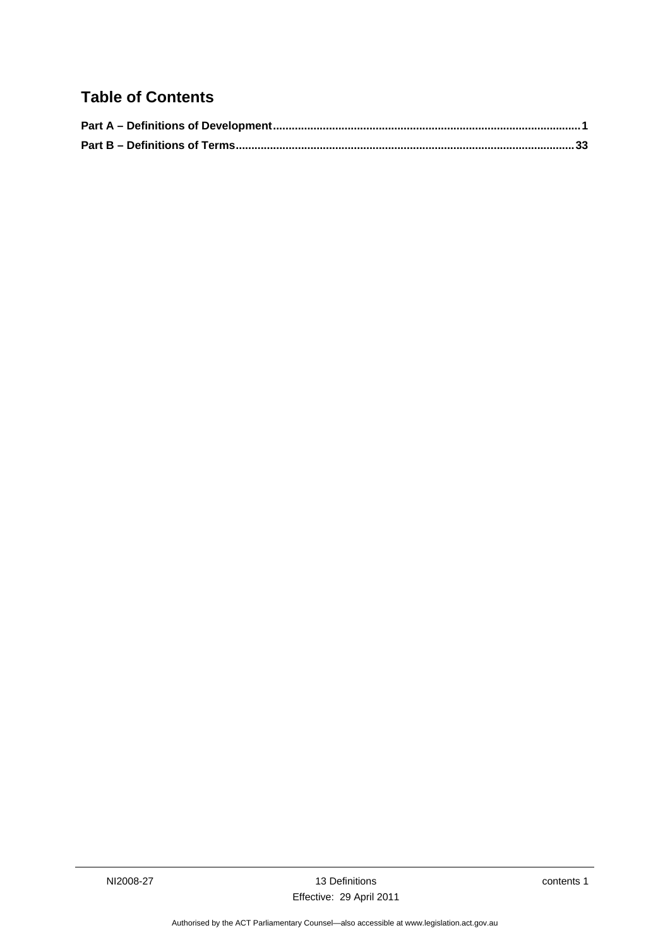## **Table of Contents**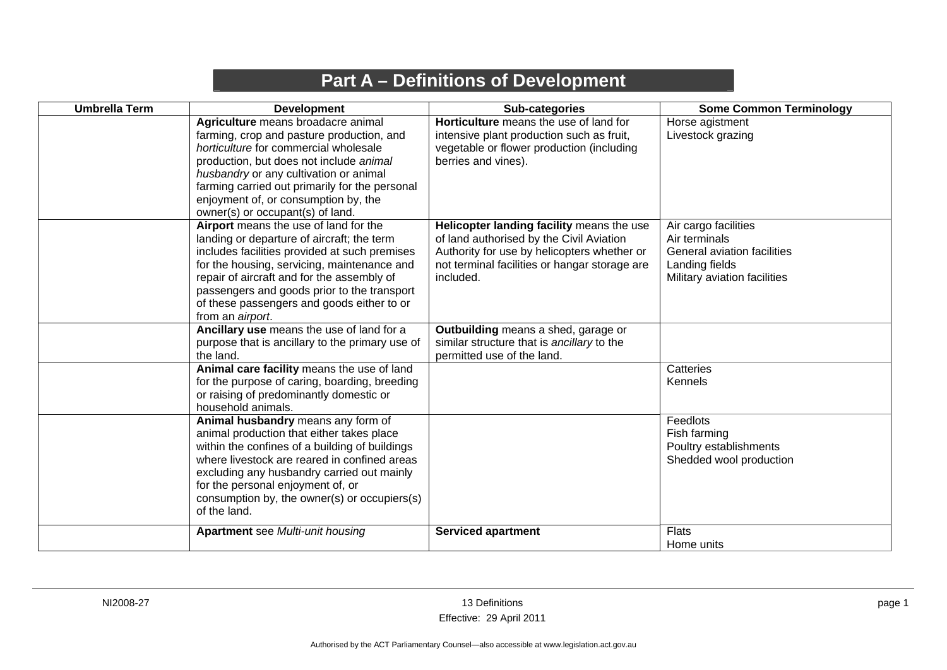## **Part A – Definitions of Development**

| <b>Umbrella Term</b> | <b>Development</b>                                                                                                                                                                                                                                                                                                                                 | Sub-categories                                                                                                                                                                                     | <b>Some Common Terminology</b>                                                                                         |
|----------------------|----------------------------------------------------------------------------------------------------------------------------------------------------------------------------------------------------------------------------------------------------------------------------------------------------------------------------------------------------|----------------------------------------------------------------------------------------------------------------------------------------------------------------------------------------------------|------------------------------------------------------------------------------------------------------------------------|
|                      | Agriculture means broadacre animal<br>farming, crop and pasture production, and<br>horticulture for commercial wholesale<br>production, but does not include animal<br>husbandry or any cultivation or animal<br>farming carried out primarily for the personal<br>enjoyment of, or consumption by, the<br>owner(s) or occupant(s) of land.        | Horticulture means the use of land for<br>intensive plant production such as fruit,<br>vegetable or flower production (including<br>berries and vines).                                            | Horse agistment<br>Livestock grazing                                                                                   |
|                      | Airport means the use of land for the<br>landing or departure of aircraft; the term<br>includes facilities provided at such premises<br>for the housing, servicing, maintenance and<br>repair of aircraft and for the assembly of<br>passengers and goods prior to the transport<br>of these passengers and goods either to or<br>from an airport. | Helicopter landing facility means the use<br>of land authorised by the Civil Aviation<br>Authority for use by helicopters whether or<br>not terminal facilities or hangar storage are<br>included. | Air cargo facilities<br>Air terminals<br>General aviation facilities<br>Landing fields<br>Military aviation facilities |
|                      | Ancillary use means the use of land for a<br>purpose that is ancillary to the primary use of<br>the land.                                                                                                                                                                                                                                          | Outbuilding means a shed, garage or<br>similar structure that is ancillary to the<br>permitted use of the land.                                                                                    |                                                                                                                        |
|                      | Animal care facility means the use of land<br>for the purpose of caring, boarding, breeding<br>or raising of predominantly domestic or<br>household animals.                                                                                                                                                                                       |                                                                                                                                                                                                    | Catteries<br>Kennels                                                                                                   |
|                      | Animal husbandry means any form of<br>animal production that either takes place<br>within the confines of a building of buildings<br>where livestock are reared in confined areas<br>excluding any husbandry carried out mainly<br>for the personal enjoyment of, or<br>consumption by, the owner(s) or occupiers(s)<br>of the land.               |                                                                                                                                                                                                    | Feedlots<br>Fish farming<br>Poultry establishments<br>Shedded wool production                                          |
|                      | <b>Apartment</b> see Multi-unit housing                                                                                                                                                                                                                                                                                                            | <b>Serviced apartment</b>                                                                                                                                                                          | <b>Flats</b><br>Home units                                                                                             |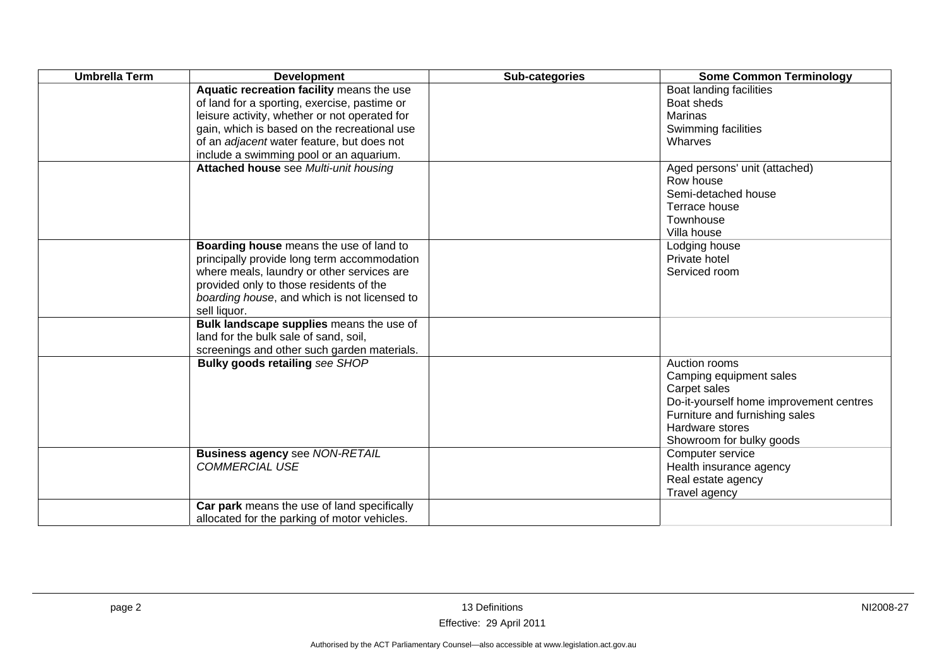| <b>Umbrella Term</b> | <b>Development</b>                            | Sub-categories | <b>Some Common Terminology</b>          |
|----------------------|-----------------------------------------------|----------------|-----------------------------------------|
|                      | Aquatic recreation facility means the use     |                | Boat landing facilities                 |
|                      | of land for a sporting, exercise, pastime or  |                | Boat sheds                              |
|                      | leisure activity, whether or not operated for |                | Marinas                                 |
|                      | gain, which is based on the recreational use  |                | Swimming facilities                     |
|                      | of an adjacent water feature, but does not    |                | Wharves                                 |
|                      | include a swimming pool or an aquarium.       |                |                                         |
|                      | Attached house see Multi-unit housing         |                | Aged persons' unit (attached)           |
|                      |                                               |                | Row house                               |
|                      |                                               |                | Semi-detached house                     |
|                      |                                               |                | Terrace house                           |
|                      |                                               |                | Townhouse                               |
|                      |                                               |                | Villa house                             |
|                      | Boarding house means the use of land to       |                | Lodging house                           |
|                      | principally provide long term accommodation   |                | Private hotel                           |
|                      | where meals, laundry or other services are    |                | Serviced room                           |
|                      | provided only to those residents of the       |                |                                         |
|                      | boarding house, and which is not licensed to  |                |                                         |
|                      | sell liquor.                                  |                |                                         |
|                      | Bulk landscape supplies means the use of      |                |                                         |
|                      | land for the bulk sale of sand, soil,         |                |                                         |
|                      | screenings and other such garden materials.   |                |                                         |
|                      | Bulky goods retailing see SHOP                |                | Auction rooms                           |
|                      |                                               |                | Camping equipment sales                 |
|                      |                                               |                | Carpet sales                            |
|                      |                                               |                | Do-it-yourself home improvement centres |
|                      |                                               |                | Furniture and furnishing sales          |
|                      |                                               |                | Hardware stores                         |
|                      |                                               |                | Showroom for bulky goods                |
|                      | <b>Business agency see NON-RETAIL</b>         |                | Computer service                        |
|                      | <b>COMMERCIAL USE</b>                         |                | Health insurance agency                 |
|                      |                                               |                | Real estate agency                      |
|                      |                                               |                | Travel agency                           |
|                      | Car park means the use of land specifically   |                |                                         |
|                      | allocated for the parking of motor vehicles.  |                |                                         |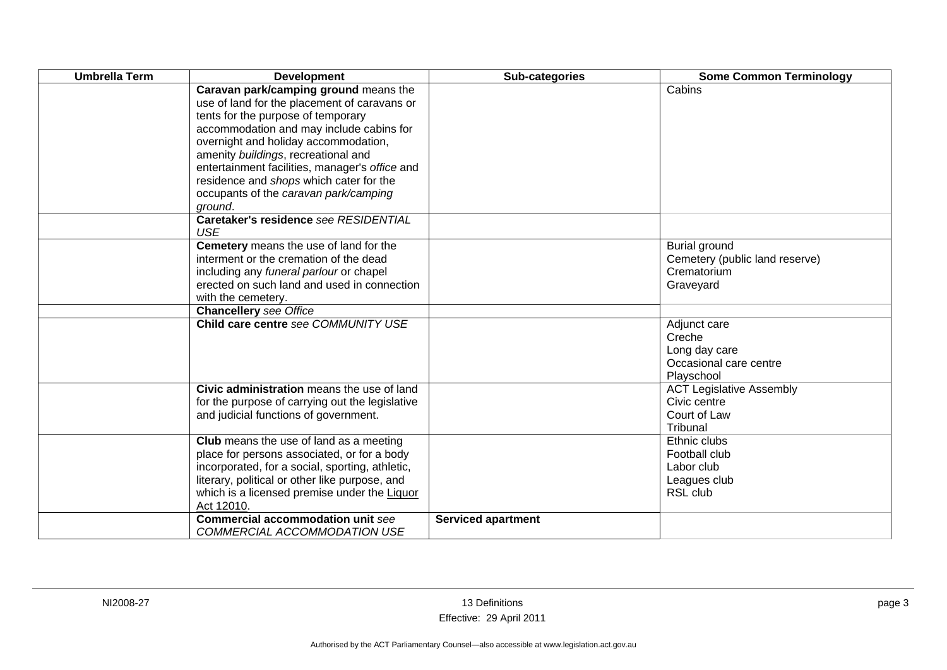| <b>Umbrella Term</b> | <b>Development</b>                                                                                                                                                                                                                                                                                                                                                                           | Sub-categories            | <b>Some Common Terminology</b>                                                  |
|----------------------|----------------------------------------------------------------------------------------------------------------------------------------------------------------------------------------------------------------------------------------------------------------------------------------------------------------------------------------------------------------------------------------------|---------------------------|---------------------------------------------------------------------------------|
|                      | Caravan park/camping ground means the<br>use of land for the placement of caravans or<br>tents for the purpose of temporary<br>accommodation and may include cabins for<br>overnight and holiday accommodation,<br>amenity buildings, recreational and<br>entertainment facilities, manager's office and<br>residence and shops which cater for the<br>occupants of the caravan park/camping |                           | Cabins                                                                          |
|                      | ground.<br>Caretaker's residence see RESIDENTIAL<br><b>USE</b>                                                                                                                                                                                                                                                                                                                               |                           |                                                                                 |
|                      | Cemetery means the use of land for the<br>interment or the cremation of the dead<br>including any funeral parlour or chapel<br>erected on such land and used in connection<br>with the cemetery.                                                                                                                                                                                             |                           | Burial ground<br>Cemetery (public land reserve)<br>Crematorium<br>Graveyard     |
|                      | <b>Chancellery</b> see Office                                                                                                                                                                                                                                                                                                                                                                |                           |                                                                                 |
|                      | Child care centre see COMMUNITY USE                                                                                                                                                                                                                                                                                                                                                          |                           | Adjunct care<br>Creche<br>Long day care<br>Occasional care centre<br>Playschool |
|                      | Civic administration means the use of land<br>for the purpose of carrying out the legislative<br>and judicial functions of government.                                                                                                                                                                                                                                                       |                           | <b>ACT Legislative Assembly</b><br>Civic centre<br>Court of Law<br>Tribunal     |
|                      | Club means the use of land as a meeting<br>place for persons associated, or for a body<br>incorporated, for a social, sporting, athletic,<br>literary, political or other like purpose, and<br>which is a licensed premise under the Liquor<br>Act 12010.                                                                                                                                    |                           | Ethnic clubs<br>Football club<br>Labor club<br>Leagues club<br>RSL club         |
|                      | <b>Commercial accommodation unit see</b><br>COMMERCIAL ACCOMMODATION USE                                                                                                                                                                                                                                                                                                                     | <b>Serviced apartment</b> |                                                                                 |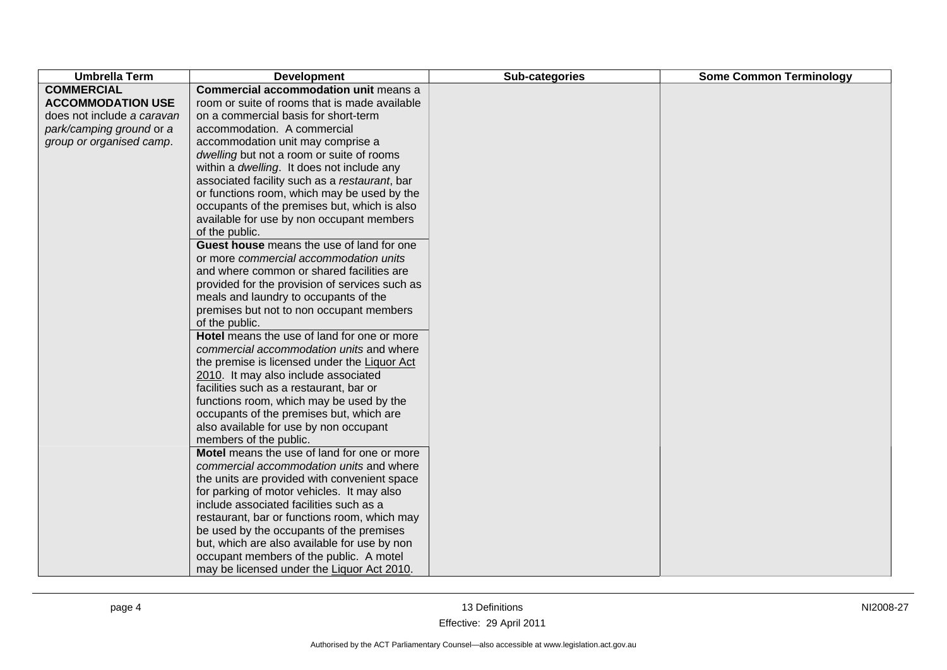| <b>Umbrella Term</b>       | <b>Development</b>                             | Sub-categories | <b>Some Common Terminology</b> |
|----------------------------|------------------------------------------------|----------------|--------------------------------|
| <b>COMMERCIAL</b>          | <b>Commercial accommodation unit means a</b>   |                |                                |
| <b>ACCOMMODATION USE</b>   | room or suite of rooms that is made available  |                |                                |
| does not include a caravan | on a commercial basis for short-term           |                |                                |
| park/camping ground or a   | accommodation. A commercial                    |                |                                |
| group or organised camp.   | accommodation unit may comprise a              |                |                                |
|                            | dwelling but not a room or suite of rooms      |                |                                |
|                            | within a dwelling. It does not include any     |                |                                |
|                            | associated facility such as a restaurant, bar  |                |                                |
|                            | or functions room, which may be used by the    |                |                                |
|                            | occupants of the premises but, which is also   |                |                                |
|                            | available for use by non occupant members      |                |                                |
|                            | of the public.                                 |                |                                |
|                            | Guest house means the use of land for one      |                |                                |
|                            | or more commercial accommodation units         |                |                                |
|                            | and where common or shared facilities are      |                |                                |
|                            | provided for the provision of services such as |                |                                |
|                            | meals and laundry to occupants of the          |                |                                |
|                            | premises but not to non occupant members       |                |                                |
|                            | of the public.                                 |                |                                |
|                            | Hotel means the use of land for one or more    |                |                                |
|                            | commercial accommodation units and where       |                |                                |
|                            | the premise is licensed under the Liquor Act   |                |                                |
|                            | 2010. It may also include associated           |                |                                |
|                            | facilities such as a restaurant, bar or        |                |                                |
|                            | functions room, which may be used by the       |                |                                |
|                            | occupants of the premises but, which are       |                |                                |
|                            | also available for use by non occupant         |                |                                |
|                            | members of the public.                         |                |                                |
|                            | Motel means the use of land for one or more    |                |                                |
|                            | commercial accommodation units and where       |                |                                |
|                            | the units are provided with convenient space   |                |                                |
|                            | for parking of motor vehicles. It may also     |                |                                |
|                            | include associated facilities such as a        |                |                                |
|                            | restaurant, bar or functions room, which may   |                |                                |
|                            | be used by the occupants of the premises       |                |                                |
|                            | but, which are also available for use by non   |                |                                |
|                            | occupant members of the public. A motel        |                |                                |
|                            | may be licensed under the Liquor Act 2010.     |                |                                |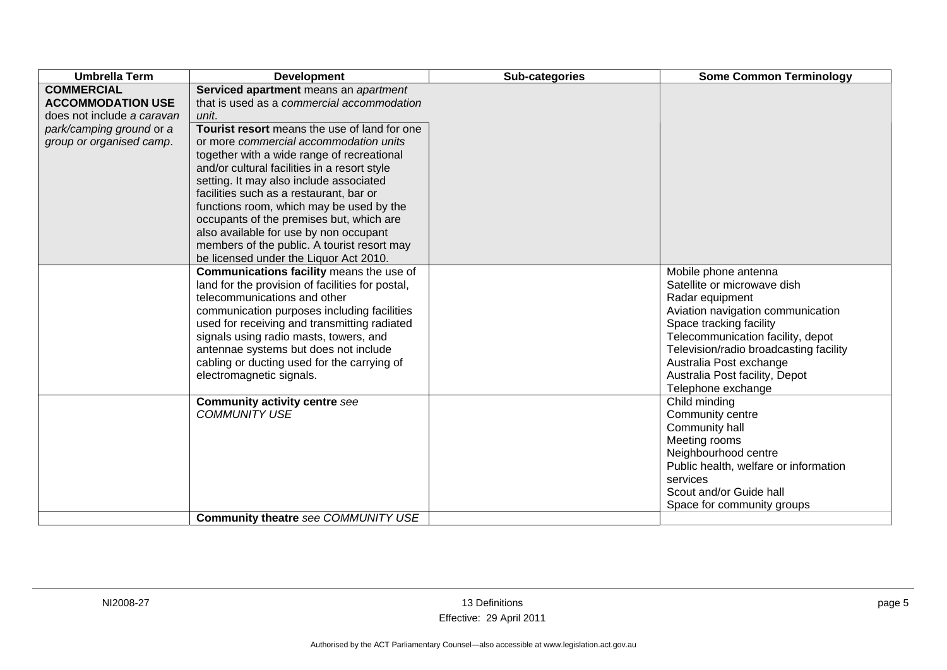| <b>Umbrella Term</b>                                                                                                                | <b>Development</b>                                                                                                                                                                                                                                                                                                                                                                                                                                                                                                                                                                                    | Sub-categories | <b>Some Common Terminology</b>                                                                                                                                                                                                                                                                           |
|-------------------------------------------------------------------------------------------------------------------------------------|-------------------------------------------------------------------------------------------------------------------------------------------------------------------------------------------------------------------------------------------------------------------------------------------------------------------------------------------------------------------------------------------------------------------------------------------------------------------------------------------------------------------------------------------------------------------------------------------------------|----------------|----------------------------------------------------------------------------------------------------------------------------------------------------------------------------------------------------------------------------------------------------------------------------------------------------------|
| <b>COMMERCIAL</b><br><b>ACCOMMODATION USE</b><br>does not include a caravan<br>park/camping ground or a<br>group or organised camp. | Serviced apartment means an apartment<br>that is used as a commercial accommodation<br>unit.<br>Tourist resort means the use of land for one<br>or more commercial accommodation units<br>together with a wide range of recreational<br>and/or cultural facilities in a resort style<br>setting. It may also include associated<br>facilities such as a restaurant, bar or<br>functions room, which may be used by the<br>occupants of the premises but, which are<br>also available for use by non occupant<br>members of the public. A tourist resort may<br>be licensed under the Liquor Act 2010. |                |                                                                                                                                                                                                                                                                                                          |
|                                                                                                                                     | Communications facility means the use of<br>land for the provision of facilities for postal,<br>telecommunications and other<br>communication purposes including facilities<br>used for receiving and transmitting radiated<br>signals using radio masts, towers, and<br>antennae systems but does not include<br>cabling or ducting used for the carrying of<br>electromagnetic signals.                                                                                                                                                                                                             |                | Mobile phone antenna<br>Satellite or microwave dish<br>Radar equipment<br>Aviation navigation communication<br>Space tracking facility<br>Telecommunication facility, depot<br>Television/radio broadcasting facility<br>Australia Post exchange<br>Australia Post facility, Depot<br>Telephone exchange |
|                                                                                                                                     | <b>Community activity centre see</b><br><b>COMMUNITY USE</b>                                                                                                                                                                                                                                                                                                                                                                                                                                                                                                                                          |                | Child minding<br>Community centre<br>Community hall<br>Meeting rooms<br>Neighbourhood centre<br>Public health, welfare or information<br>services<br>Scout and/or Guide hall<br>Space for community groups                                                                                               |
|                                                                                                                                     | Community theatre see COMMUNITY USE                                                                                                                                                                                                                                                                                                                                                                                                                                                                                                                                                                   |                |                                                                                                                                                                                                                                                                                                          |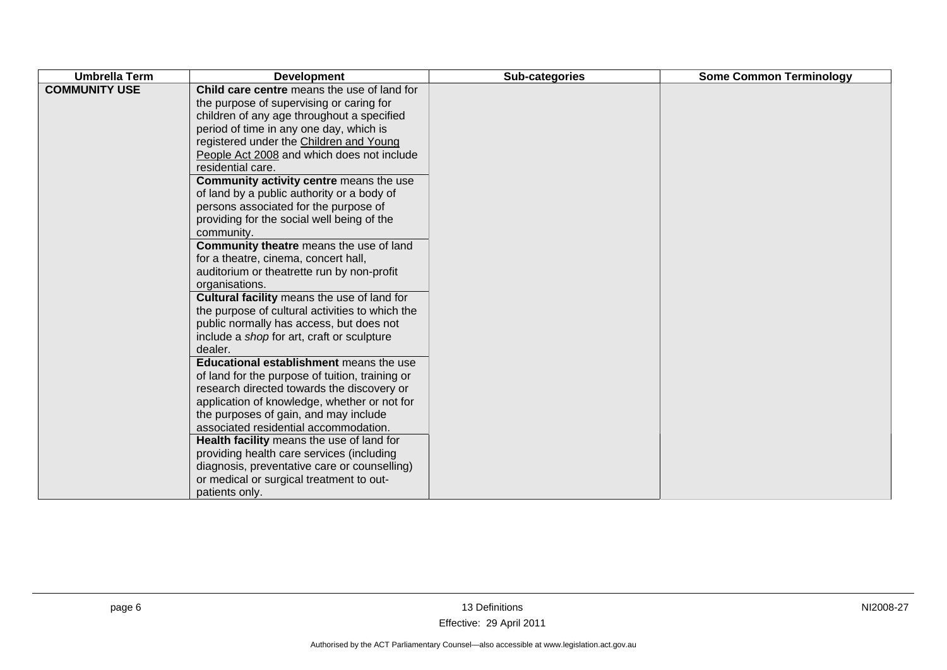| <b>Umbrella Term</b> | <b>Development</b>                                                                                                                                                                                                                                                                                                                                                                                                                                                                                                                                                                                                                                                                                                                                | Sub-categories | <b>Some Common Terminology</b> |
|----------------------|---------------------------------------------------------------------------------------------------------------------------------------------------------------------------------------------------------------------------------------------------------------------------------------------------------------------------------------------------------------------------------------------------------------------------------------------------------------------------------------------------------------------------------------------------------------------------------------------------------------------------------------------------------------------------------------------------------------------------------------------------|----------------|--------------------------------|
| <b>COMMUNITY USE</b> | Child care centre means the use of land for<br>the purpose of supervising or caring for<br>children of any age throughout a specified<br>period of time in any one day, which is<br>registered under the Children and Young<br>People Act 2008 and which does not include<br>residential care.<br>Community activity centre means the use<br>of land by a public authority or a body of<br>persons associated for the purpose of<br>providing for the social well being of the<br>community.<br>Community theatre means the use of land<br>for a theatre, cinema, concert hall,<br>auditorium or theatrette run by non-profit<br>organisations.<br>Cultural facility means the use of land for<br>the purpose of cultural activities to which the |                |                                |
|                      | public normally has access, but does not<br>include a shop for art, craft or sculpture<br>dealer.<br>Educational establishment means the use<br>of land for the purpose of tuition, training or<br>research directed towards the discovery or<br>application of knowledge, whether or not for<br>the purposes of gain, and may include<br>associated residential accommodation.<br>Health facility means the use of land for<br>providing health care services (including<br>diagnosis, preventative care or counselling)<br>or medical or surgical treatment to out-<br>patients only.                                                                                                                                                           |                |                                |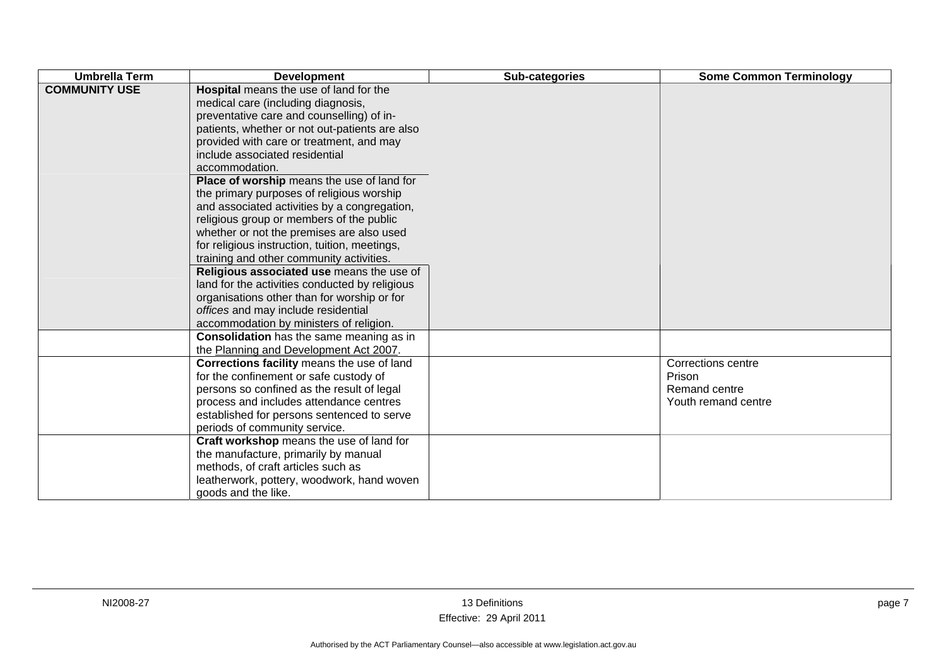| <b>Umbrella Term</b> | <b>Development</b>                                                                                                                                                                                                                                                                                                                                                                                                                                                                                                                                                                                           | Sub-categories | <b>Some Common Terminology</b>                                              |
|----------------------|--------------------------------------------------------------------------------------------------------------------------------------------------------------------------------------------------------------------------------------------------------------------------------------------------------------------------------------------------------------------------------------------------------------------------------------------------------------------------------------------------------------------------------------------------------------------------------------------------------------|----------------|-----------------------------------------------------------------------------|
| <b>COMMUNITY USE</b> | Hospital means the use of land for the<br>medical care (including diagnosis,<br>preventative care and counselling) of in-<br>patients, whether or not out-patients are also<br>provided with care or treatment, and may<br>include associated residential<br>accommodation.<br>Place of worship means the use of land for<br>the primary purposes of religious worship<br>and associated activities by a congregation,<br>religious group or members of the public<br>whether or not the premises are also used<br>for religious instruction, tuition, meetings,<br>training and other community activities. |                |                                                                             |
|                      | Religious associated use means the use of<br>land for the activities conducted by religious<br>organisations other than for worship or for<br>offices and may include residential<br>accommodation by ministers of religion.                                                                                                                                                                                                                                                                                                                                                                                 |                |                                                                             |
|                      | <b>Consolidation</b> has the same meaning as in<br>the Planning and Development Act 2007.                                                                                                                                                                                                                                                                                                                                                                                                                                                                                                                    |                |                                                                             |
|                      | Corrections facility means the use of land<br>for the confinement or safe custody of<br>persons so confined as the result of legal<br>process and includes attendance centres<br>established for persons sentenced to serve<br>periods of community service.                                                                                                                                                                                                                                                                                                                                                 |                | <b>Corrections centre</b><br>Prison<br>Remand centre<br>Youth remand centre |
|                      | Craft workshop means the use of land for<br>the manufacture, primarily by manual<br>methods, of craft articles such as<br>leatherwork, pottery, woodwork, hand woven<br>goods and the like.                                                                                                                                                                                                                                                                                                                                                                                                                  |                |                                                                             |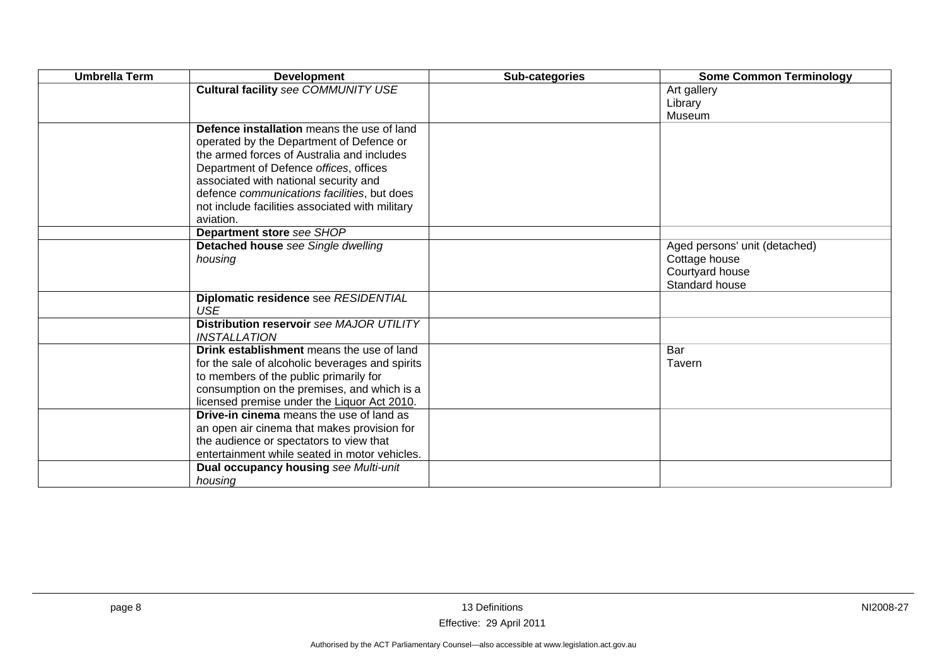| <b>Umbrella Term</b> | <b>Development</b>                                 | Sub-categories | <b>Some Common Terminology</b> |
|----------------------|----------------------------------------------------|----------------|--------------------------------|
|                      | <b>Cultural facility see COMMUNITY USE</b>         |                | Art gallery                    |
|                      |                                                    |                | Library                        |
|                      |                                                    |                | Museum                         |
|                      | Defence installation means the use of land         |                |                                |
|                      | operated by the Department of Defence or           |                |                                |
|                      | the armed forces of Australia and includes         |                |                                |
|                      | Department of Defence offices, offices             |                |                                |
|                      | associated with national security and              |                |                                |
|                      | defence communications facilities, but does        |                |                                |
|                      | not include facilities associated with military    |                |                                |
|                      | aviation.                                          |                |                                |
|                      | Department store see SHOP                          |                |                                |
|                      | Detached house see Single dwelling                 |                | Aged persons' unit (detached)  |
|                      | housing                                            |                | Cottage house                  |
|                      |                                                    |                | Courtyard house                |
|                      |                                                    |                | Standard house                 |
|                      | Diplomatic residence see RESIDENTIAL<br><b>USE</b> |                |                                |
|                      | Distribution reservoir see MAJOR UTILITY           |                |                                |
|                      | <b>INSTALLATION</b>                                |                |                                |
|                      | Drink establishment means the use of land          |                | Bar                            |
|                      | for the sale of alcoholic beverages and spirits    |                | Tavern                         |
|                      | to members of the public primarily for             |                |                                |
|                      | consumption on the premises, and which is a        |                |                                |
|                      | licensed premise under the Liquor Act 2010.        |                |                                |
|                      | <b>Drive-in cinema</b> means the use of land as    |                |                                |
|                      | an open air cinema that makes provision for        |                |                                |
|                      | the audience or spectators to view that            |                |                                |
|                      | entertainment while seated in motor vehicles.      |                |                                |
|                      | Dual occupancy housing see Multi-unit              |                |                                |
|                      | housing                                            |                |                                |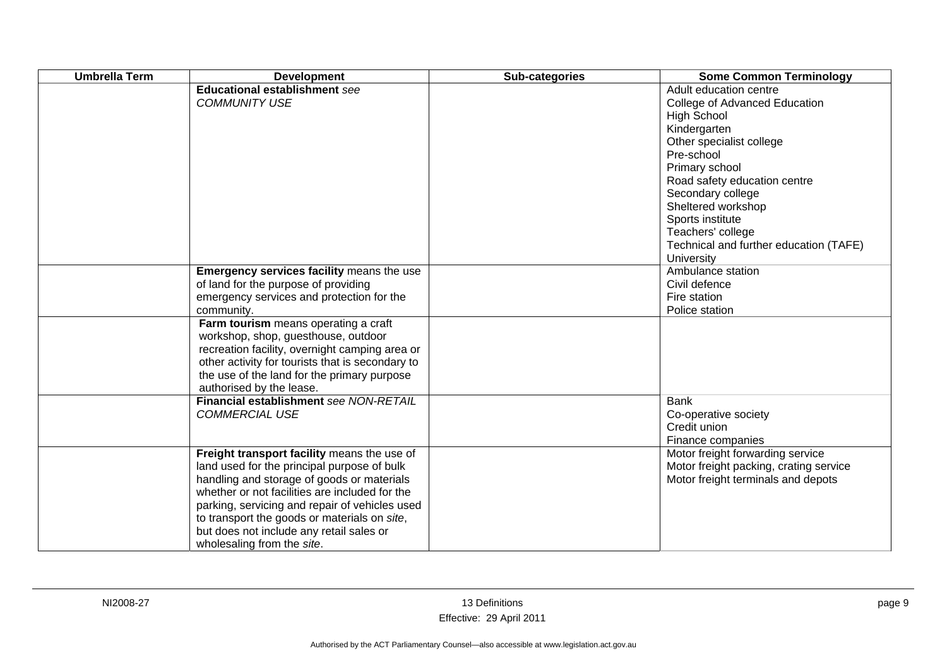| <b>Umbrella Term</b> | <b>Development</b>                                                                                                                                                                                                                                                                                                                                                     | Sub-categories | <b>Some Common Terminology</b>                                                                                                                                                                                                                                                                                                        |
|----------------------|------------------------------------------------------------------------------------------------------------------------------------------------------------------------------------------------------------------------------------------------------------------------------------------------------------------------------------------------------------------------|----------------|---------------------------------------------------------------------------------------------------------------------------------------------------------------------------------------------------------------------------------------------------------------------------------------------------------------------------------------|
|                      | <b>Educational establishment see</b><br><b>COMMUNITY USE</b>                                                                                                                                                                                                                                                                                                           |                | Adult education centre<br>College of Advanced Education<br><b>High School</b><br>Kindergarten<br>Other specialist college<br>Pre-school<br>Primary school<br>Road safety education centre<br>Secondary college<br>Sheltered workshop<br>Sports institute<br>Teachers' college<br>Technical and further education (TAFE)<br>University |
|                      | Emergency services facility means the use<br>of land for the purpose of providing<br>emergency services and protection for the<br>community.                                                                                                                                                                                                                           |                | Ambulance station<br>Civil defence<br>Fire station<br>Police station                                                                                                                                                                                                                                                                  |
|                      | Farm tourism means operating a craft<br>workshop, shop, guesthouse, outdoor<br>recreation facility, overnight camping area or<br>other activity for tourists that is secondary to<br>the use of the land for the primary purpose<br>authorised by the lease.                                                                                                           |                |                                                                                                                                                                                                                                                                                                                                       |
|                      | Financial establishment see NON-RETAIL<br><b>COMMERCIAL USE</b>                                                                                                                                                                                                                                                                                                        |                | <b>Bank</b><br>Co-operative society<br>Credit union<br>Finance companies                                                                                                                                                                                                                                                              |
|                      | Freight transport facility means the use of<br>land used for the principal purpose of bulk<br>handling and storage of goods or materials<br>whether or not facilities are included for the<br>parking, servicing and repair of vehicles used<br>to transport the goods or materials on site,<br>but does not include any retail sales or<br>wholesaling from the site. |                | Motor freight forwarding service<br>Motor freight packing, crating service<br>Motor freight terminals and depots                                                                                                                                                                                                                      |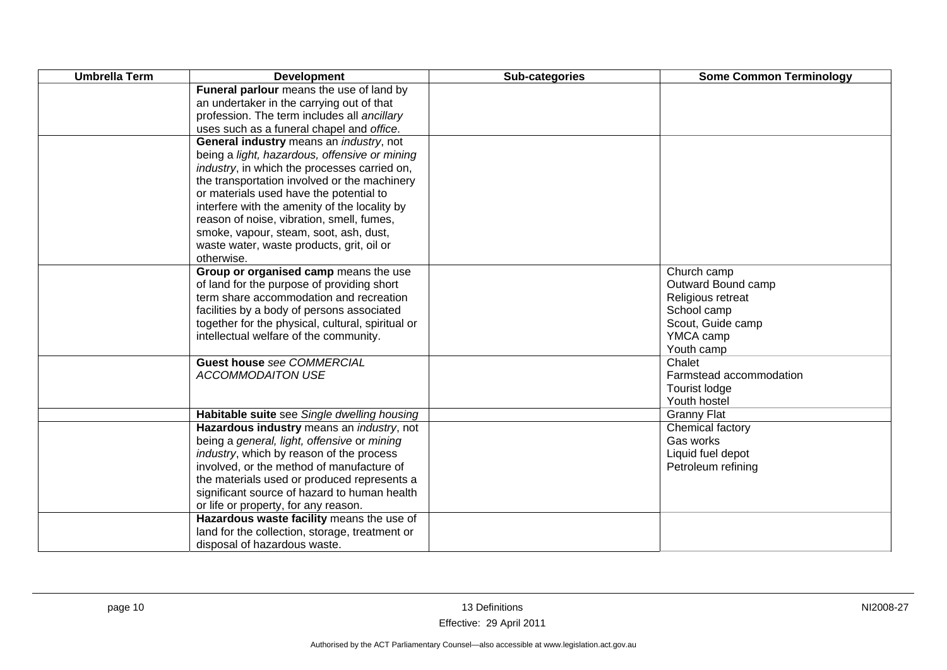| <b>Umbrella Term</b> | <b>Development</b>                                   | Sub-categories | <b>Some Common Terminology</b> |
|----------------------|------------------------------------------------------|----------------|--------------------------------|
|                      | Funeral parlour means the use of land by             |                |                                |
|                      | an undertaker in the carrying out of that            |                |                                |
|                      | profession. The term includes all ancillary          |                |                                |
|                      | uses such as a funeral chapel and office.            |                |                                |
|                      | General industry means an <i>industry</i> , not      |                |                                |
|                      | being a light, hazardous, offensive or mining        |                |                                |
|                      | <i>industry</i> , in which the processes carried on, |                |                                |
|                      | the transportation involved or the machinery         |                |                                |
|                      | or materials used have the potential to              |                |                                |
|                      | interfere with the amenity of the locality by        |                |                                |
|                      | reason of noise, vibration, smell, fumes,            |                |                                |
|                      | smoke, vapour, steam, soot, ash, dust,               |                |                                |
|                      | waste water, waste products, grit, oil or            |                |                                |
|                      | otherwise.                                           |                |                                |
|                      | Group or organised camp means the use                |                | Church camp                    |
|                      | of land for the purpose of providing short           |                | Outward Bound camp             |
|                      | term share accommodation and recreation              |                | Religious retreat              |
|                      | facilities by a body of persons associated           |                | School camp                    |
|                      | together for the physical, cultural, spiritual or    |                | Scout, Guide camp              |
|                      | intellectual welfare of the community.               |                | YMCA camp                      |
|                      |                                                      |                | Youth camp                     |
|                      | <b>Guest house see COMMERCIAL</b>                    |                | Chalet                         |
|                      | <b>ACCOMMODAITON USE</b>                             |                | Farmstead accommodation        |
|                      |                                                      |                | Tourist lodge                  |
|                      |                                                      |                | Youth hostel                   |
|                      | Habitable suite see Single dwelling housing          |                | <b>Granny Flat</b>             |
|                      | Hazardous industry means an industry, not            |                | Chemical factory               |
|                      | being a general, light, offensive or mining          |                | Gas works                      |
|                      | industry, which by reason of the process             |                | Liquid fuel depot              |
|                      | involved, or the method of manufacture of            |                | Petroleum refining             |
|                      | the materials used or produced represents a          |                |                                |
|                      | significant source of hazard to human health         |                |                                |
|                      | or life or property, for any reason.                 |                |                                |
|                      | Hazardous waste facility means the use of            |                |                                |
|                      | land for the collection, storage, treatment or       |                |                                |
|                      | disposal of hazardous waste.                         |                |                                |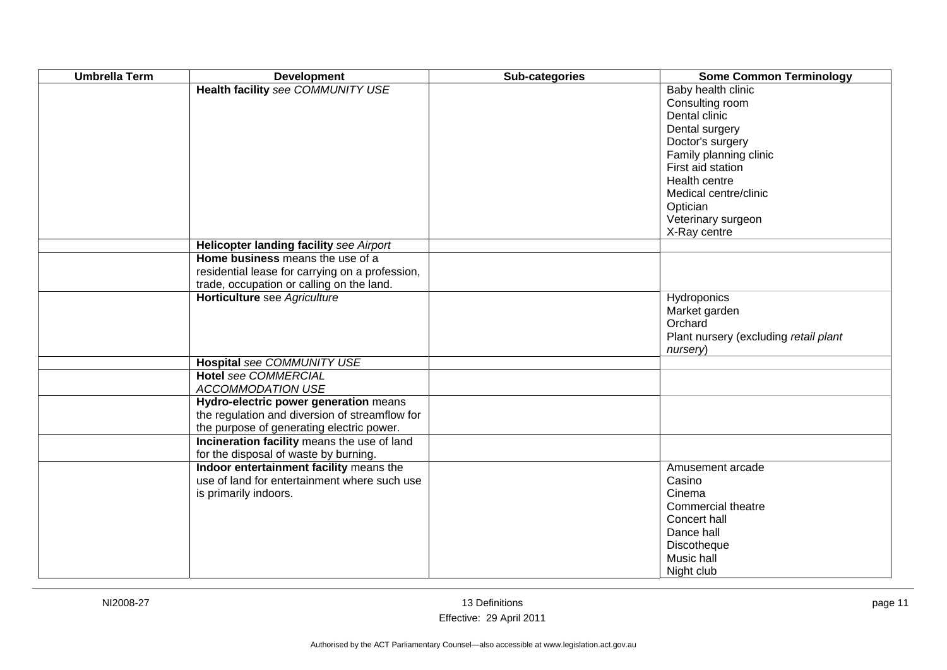| <b>Umbrella Term</b> | <b>Development</b>                              | Sub-categories | <b>Some Common Terminology</b>        |
|----------------------|-------------------------------------------------|----------------|---------------------------------------|
|                      | Health facility see COMMUNITY USE               |                | Baby health clinic                    |
|                      |                                                 |                | Consulting room                       |
|                      |                                                 |                | Dental clinic                         |
|                      |                                                 |                | Dental surgery                        |
|                      |                                                 |                | Doctor's surgery                      |
|                      |                                                 |                | Family planning clinic                |
|                      |                                                 |                | First aid station                     |
|                      |                                                 |                | Health centre                         |
|                      |                                                 |                | Medical centre/clinic                 |
|                      |                                                 |                | Optician                              |
|                      |                                                 |                | Veterinary surgeon                    |
|                      |                                                 |                | X-Ray centre                          |
|                      | Helicopter landing facility see Airport         |                |                                       |
|                      | Home business means the use of a                |                |                                       |
|                      | residential lease for carrying on a profession, |                |                                       |
|                      | trade, occupation or calling on the land.       |                |                                       |
|                      | Horticulture see Agriculture                    |                | <b>Hydroponics</b>                    |
|                      |                                                 |                | Market garden                         |
|                      |                                                 |                | Orchard                               |
|                      |                                                 |                | Plant nursery (excluding retail plant |
|                      |                                                 |                | nursery)                              |
|                      | Hospital see COMMUNITY USE                      |                |                                       |
|                      | <b>Hotel see COMMERCIAL</b>                     |                |                                       |
|                      | <b>ACCOMMODATION USE</b>                        |                |                                       |
|                      | Hydro-electric power generation means           |                |                                       |
|                      | the regulation and diversion of streamflow for  |                |                                       |
|                      | the purpose of generating electric power.       |                |                                       |
|                      | Incineration facility means the use of land     |                |                                       |
|                      | for the disposal of waste by burning.           |                |                                       |
|                      | Indoor entertainment facility means the         |                | Amusement arcade                      |
|                      | use of land for entertainment where such use    |                | Casino                                |
|                      | is primarily indoors.                           |                | Cinema                                |
|                      |                                                 |                | Commercial theatre                    |
|                      |                                                 |                | Concert hall                          |
|                      |                                                 |                | Dance hall                            |
|                      |                                                 |                | Discotheque                           |
|                      |                                                 |                | Music hall                            |
|                      |                                                 |                | Night club                            |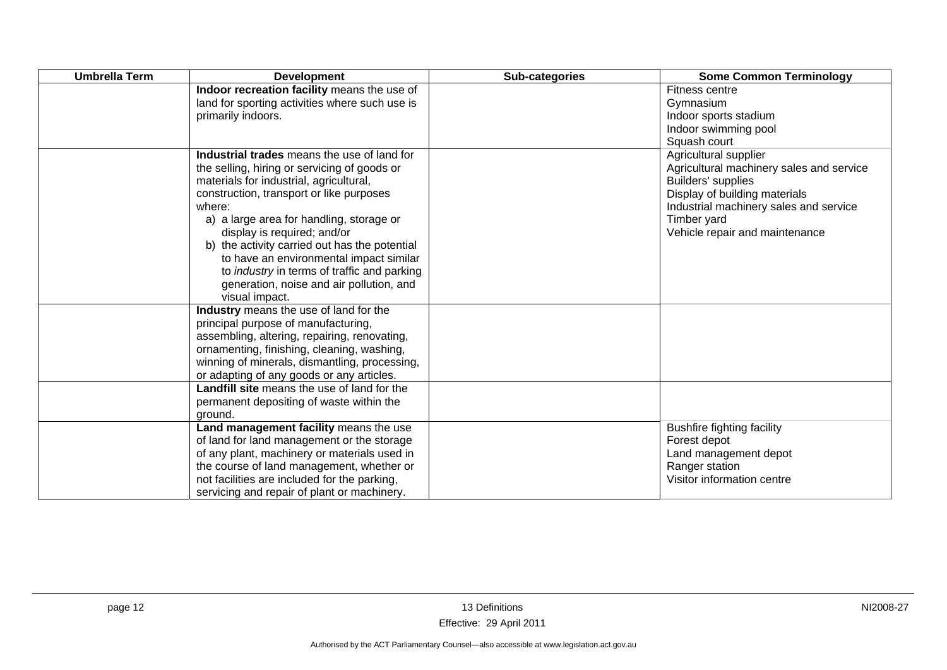| <b>Umbrella Term</b> | <b>Development</b>                                                                                                                                                                                                                                                                                                                                                                                                                                                                      | Sub-categories | <b>Some Common Terminology</b>                                                                                                                                                                                             |
|----------------------|-----------------------------------------------------------------------------------------------------------------------------------------------------------------------------------------------------------------------------------------------------------------------------------------------------------------------------------------------------------------------------------------------------------------------------------------------------------------------------------------|----------------|----------------------------------------------------------------------------------------------------------------------------------------------------------------------------------------------------------------------------|
|                      | Indoor recreation facility means the use of<br>land for sporting activities where such use is<br>primarily indoors.                                                                                                                                                                                                                                                                                                                                                                     |                | Fitness centre<br>Gymnasium<br>Indoor sports stadium<br>Indoor swimming pool<br>Squash court                                                                                                                               |
|                      | Industrial trades means the use of land for<br>the selling, hiring or servicing of goods or<br>materials for industrial, agricultural,<br>construction, transport or like purposes<br>where:<br>a) a large area for handling, storage or<br>display is required; and/or<br>b) the activity carried out has the potential<br>to have an environmental impact similar<br>to <i>industry</i> in terms of traffic and parking<br>generation, noise and air pollution, and<br>visual impact. |                | Agricultural supplier<br>Agricultural machinery sales and service<br><b>Builders' supplies</b><br>Display of building materials<br>Industrial machinery sales and service<br>Timber yard<br>Vehicle repair and maintenance |
|                      | Industry means the use of land for the<br>principal purpose of manufacturing,<br>assembling, altering, repairing, renovating,<br>ornamenting, finishing, cleaning, washing,<br>winning of minerals, dismantling, processing,<br>or adapting of any goods or any articles.                                                                                                                                                                                                               |                |                                                                                                                                                                                                                            |
|                      | Landfill site means the use of land for the<br>permanent depositing of waste within the<br>ground.                                                                                                                                                                                                                                                                                                                                                                                      |                |                                                                                                                                                                                                                            |
|                      | Land management facility means the use<br>of land for land management or the storage<br>of any plant, machinery or materials used in<br>the course of land management, whether or<br>not facilities are included for the parking,<br>servicing and repair of plant or machinery.                                                                                                                                                                                                        |                | <b>Bushfire fighting facility</b><br>Forest depot<br>Land management depot<br>Ranger station<br>Visitor information centre                                                                                                 |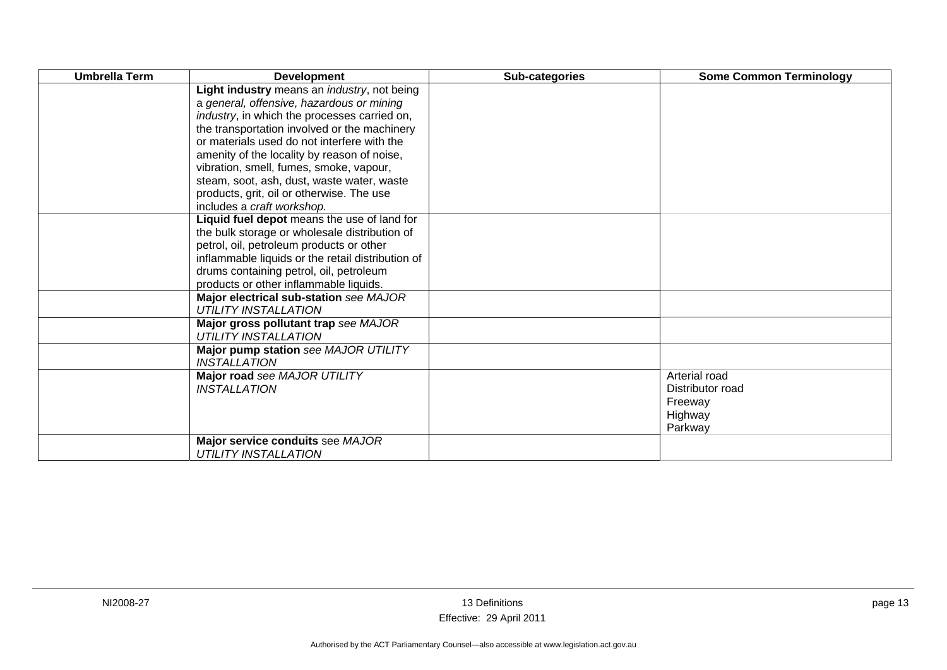| <b>Umbrella Term</b> | <b>Development</b>                                                    | Sub-categories | <b>Some Common Terminology</b> |
|----------------------|-----------------------------------------------------------------------|----------------|--------------------------------|
|                      | Light industry means an <i>industry</i> , not being                   |                |                                |
|                      | a general, offensive, hazardous or mining                             |                |                                |
|                      | industry, in which the processes carried on,                          |                |                                |
|                      | the transportation involved or the machinery                          |                |                                |
|                      | or materials used do not interfere with the                           |                |                                |
|                      | amenity of the locality by reason of noise,                           |                |                                |
|                      | vibration, smell, fumes, smoke, vapour,                               |                |                                |
|                      | steam, soot, ash, dust, waste water, waste                            |                |                                |
|                      | products, grit, oil or otherwise. The use                             |                |                                |
|                      | includes a craft workshop.                                            |                |                                |
|                      | Liquid fuel depot means the use of land for                           |                |                                |
|                      | the bulk storage or wholesale distribution of                         |                |                                |
|                      | petrol, oil, petroleum products or other                              |                |                                |
|                      | inflammable liquids or the retail distribution of                     |                |                                |
|                      | drums containing petrol, oil, petroleum                               |                |                                |
|                      | products or other inflammable liquids.                                |                |                                |
|                      | Major electrical sub-station see MAJOR<br><b>UTILITY INSTALLATION</b> |                |                                |
|                      | Major gross pollutant trap see MAJOR                                  |                |                                |
|                      | <b>UTILITY INSTALLATION</b>                                           |                |                                |
|                      | Major pump station see MAJOR UTILITY                                  |                |                                |
|                      | <b>INSTALLATION</b>                                                   |                |                                |
|                      | Major road see MAJOR UTILITY                                          |                | Arterial road                  |
|                      | <b>INSTALLATION</b>                                                   |                | Distributor road               |
|                      |                                                                       |                | Freeway                        |
|                      |                                                                       |                | Highway                        |
|                      |                                                                       |                | Parkway                        |
|                      | Major service conduits see MAJOR                                      |                |                                |
|                      | <b>UTILITY INSTALLATION</b>                                           |                |                                |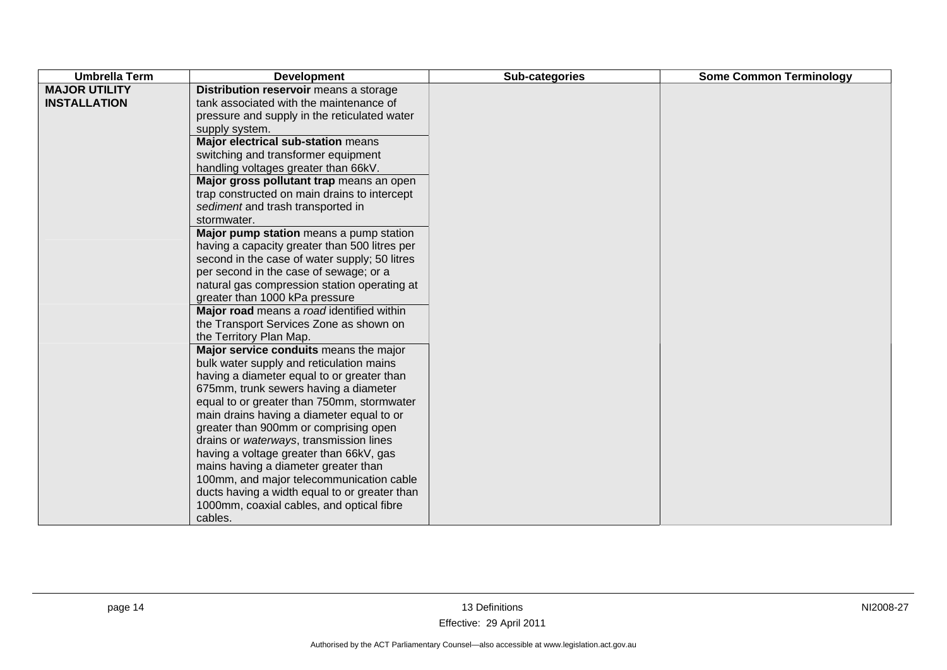| <b>Umbrella Term</b> | <b>Development</b>                            | Sub-categories | <b>Some Common Terminology</b> |
|----------------------|-----------------------------------------------|----------------|--------------------------------|
| <b>MAJOR UTILITY</b> | Distribution reservoir means a storage        |                |                                |
| <b>INSTALLATION</b>  | tank associated with the maintenance of       |                |                                |
|                      | pressure and supply in the reticulated water  |                |                                |
|                      | supply system.                                |                |                                |
|                      | Major electrical sub-station means            |                |                                |
|                      | switching and transformer equipment           |                |                                |
|                      | handling voltages greater than 66kV.          |                |                                |
|                      | Major gross pollutant trap means an open      |                |                                |
|                      | trap constructed on main drains to intercept  |                |                                |
|                      | sediment and trash transported in             |                |                                |
|                      | stormwater.                                   |                |                                |
|                      | Major pump station means a pump station       |                |                                |
|                      | having a capacity greater than 500 litres per |                |                                |
|                      | second in the case of water supply; 50 litres |                |                                |
|                      | per second in the case of sewage; or a        |                |                                |
|                      | natural gas compression station operating at  |                |                                |
|                      | greater than 1000 kPa pressure                |                |                                |
|                      | Major road means a road identified within     |                |                                |
|                      | the Transport Services Zone as shown on       |                |                                |
|                      | the Territory Plan Map.                       |                |                                |
|                      | Major service conduits means the major        |                |                                |
|                      | bulk water supply and reticulation mains      |                |                                |
|                      | having a diameter equal to or greater than    |                |                                |
|                      | 675mm, trunk sewers having a diameter         |                |                                |
|                      | equal to or greater than 750mm, stormwater    |                |                                |
|                      | main drains having a diameter equal to or     |                |                                |
|                      | greater than 900mm or comprising open         |                |                                |
|                      | drains or waterways, transmission lines       |                |                                |
|                      | having a voltage greater than 66kV, gas       |                |                                |
|                      | mains having a diameter greater than          |                |                                |
|                      | 100mm, and major telecommunication cable      |                |                                |
|                      | ducts having a width equal to or greater than |                |                                |
|                      | 1000mm, coaxial cables, and optical fibre     |                |                                |
|                      | cables.                                       |                |                                |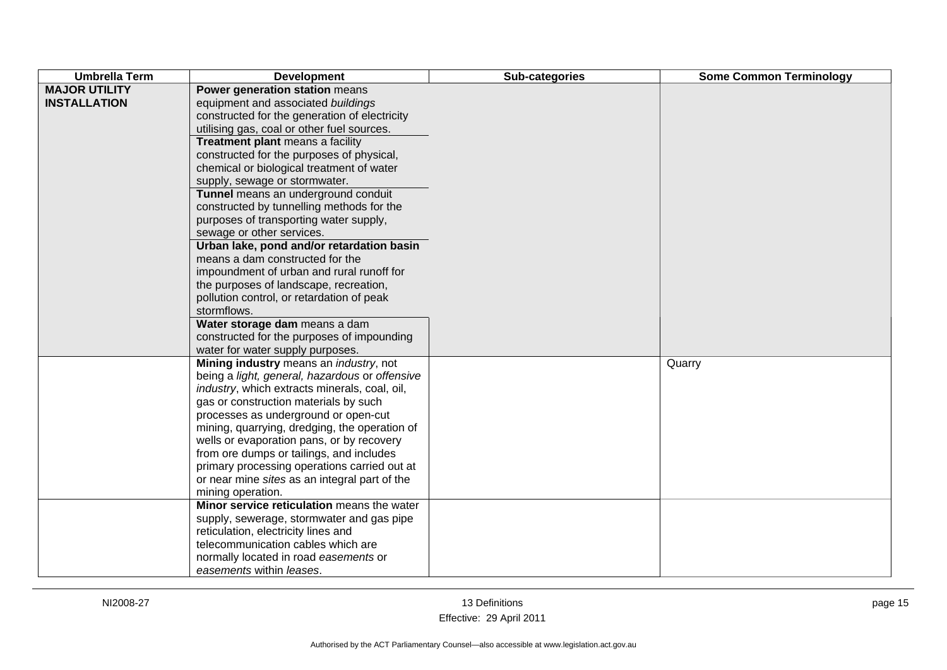| <b>Umbrella Term</b> | <b>Development</b>                             | Sub-categories | <b>Some Common Terminology</b> |
|----------------------|------------------------------------------------|----------------|--------------------------------|
| <b>MAJOR UTILITY</b> | Power generation station means                 |                |                                |
| <b>INSTALLATION</b>  | equipment and associated buildings             |                |                                |
|                      | constructed for the generation of electricity  |                |                                |
|                      | utilising gas, coal or other fuel sources.     |                |                                |
|                      | Treatment plant means a facility               |                |                                |
|                      | constructed for the purposes of physical,      |                |                                |
|                      | chemical or biological treatment of water      |                |                                |
|                      | supply, sewage or stormwater.                  |                |                                |
|                      | Tunnel means an underground conduit            |                |                                |
|                      | constructed by tunnelling methods for the      |                |                                |
|                      | purposes of transporting water supply,         |                |                                |
|                      | sewage or other services.                      |                |                                |
|                      | Urban lake, pond and/or retardation basin      |                |                                |
|                      | means a dam constructed for the                |                |                                |
|                      | impoundment of urban and rural runoff for      |                |                                |
|                      | the purposes of landscape, recreation,         |                |                                |
|                      | pollution control, or retardation of peak      |                |                                |
|                      | stormflows.                                    |                |                                |
|                      | Water storage dam means a dam                  |                |                                |
|                      | constructed for the purposes of impounding     |                |                                |
|                      | water for water supply purposes.               |                |                                |
|                      | Mining industry means an industry, not         |                | Quarry                         |
|                      | being a light, general, hazardous or offensive |                |                                |
|                      | industry, which extracts minerals, coal, oil,  |                |                                |
|                      | gas or construction materials by such          |                |                                |
|                      | processes as underground or open-cut           |                |                                |
|                      | mining, quarrying, dredging, the operation of  |                |                                |
|                      | wells or evaporation pans, or by recovery      |                |                                |
|                      | from ore dumps or tailings, and includes       |                |                                |
|                      | primary processing operations carried out at   |                |                                |
|                      | or near mine sites as an integral part of the  |                |                                |
|                      | mining operation.                              |                |                                |
|                      | Minor service reticulation means the water     |                |                                |
|                      | supply, sewerage, stormwater and gas pipe      |                |                                |
|                      | reticulation, electricity lines and            |                |                                |
|                      | telecommunication cables which are             |                |                                |
|                      | normally located in road easements or          |                |                                |
|                      | easements within leases.                       |                |                                |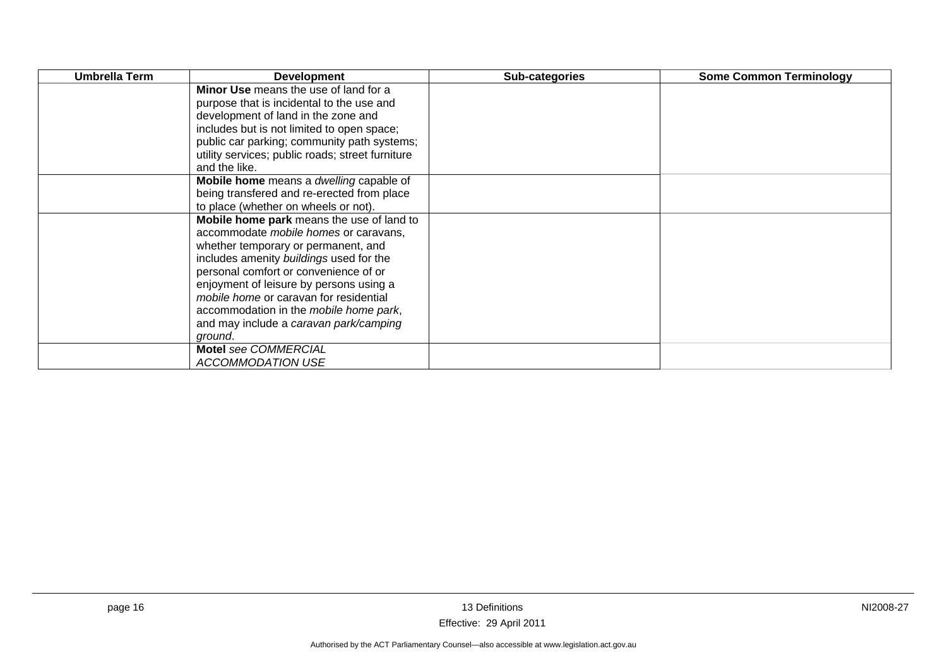| <b>Umbrella Term</b> | <b>Development</b>                               | Sub-categories | <b>Some Common Terminology</b> |
|----------------------|--------------------------------------------------|----------------|--------------------------------|
|                      | Minor Use means the use of land for a            |                |                                |
|                      | purpose that is incidental to the use and        |                |                                |
|                      | development of land in the zone and              |                |                                |
|                      | includes but is not limited to open space;       |                |                                |
|                      | public car parking; community path systems;      |                |                                |
|                      | utility services; public roads; street furniture |                |                                |
|                      | and the like.                                    |                |                                |
|                      | Mobile home means a dwelling capable of          |                |                                |
|                      | being transfered and re-erected from place       |                |                                |
|                      | to place (whether on wheels or not).             |                |                                |
|                      | Mobile home park means the use of land to        |                |                                |
|                      | accommodate mobile homes or caravans,            |                |                                |
|                      | whether temporary or permanent, and              |                |                                |
|                      | includes amenity buildings used for the          |                |                                |
|                      | personal comfort or convenience of or            |                |                                |
|                      | enjoyment of leisure by persons using a          |                |                                |
|                      | mobile home or caravan for residential           |                |                                |
|                      | accommodation in the mobile home park,           |                |                                |
|                      | and may include a caravan park/camping           |                |                                |
|                      | ground.                                          |                |                                |
|                      | Motel see COMMERCIAL                             |                |                                |
|                      | ACCOMMODATION USE                                |                |                                |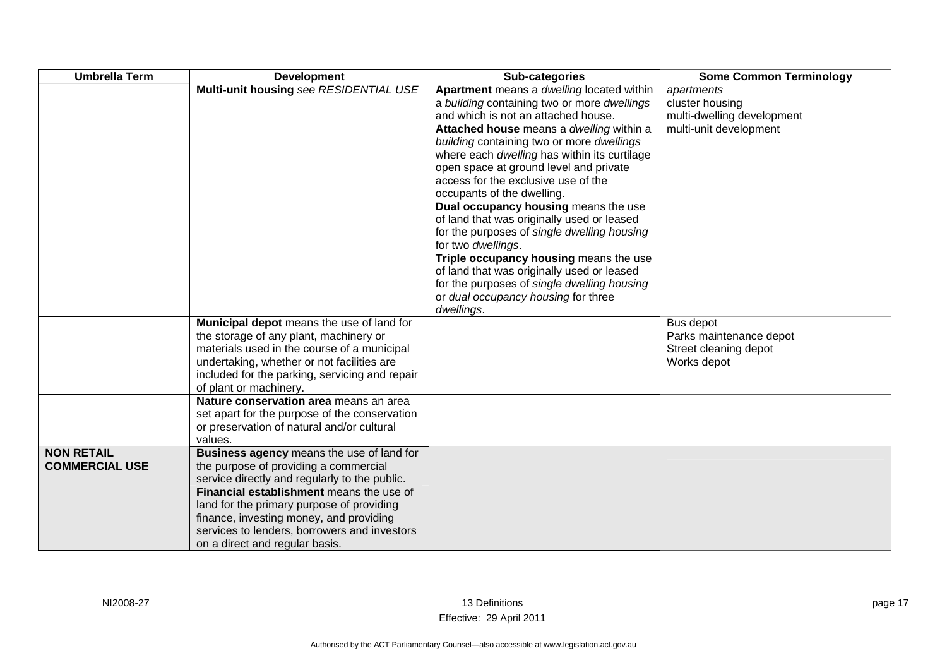| <b>Umbrella Term</b>                       | <b>Development</b>                                                                                                                                                                                                                                                                                                                                        | Sub-categories                                                                                                                                                                                                                                                                                                                                                                                                                                                                                                                                                                                                                                                                                                                                 | <b>Some Common Terminology</b>                                                        |
|--------------------------------------------|-----------------------------------------------------------------------------------------------------------------------------------------------------------------------------------------------------------------------------------------------------------------------------------------------------------------------------------------------------------|------------------------------------------------------------------------------------------------------------------------------------------------------------------------------------------------------------------------------------------------------------------------------------------------------------------------------------------------------------------------------------------------------------------------------------------------------------------------------------------------------------------------------------------------------------------------------------------------------------------------------------------------------------------------------------------------------------------------------------------------|---------------------------------------------------------------------------------------|
|                                            | Multi-unit housing see RESIDENTIAL USE                                                                                                                                                                                                                                                                                                                    | Apartment means a dwelling located within<br>a building containing two or more dwellings<br>and which is not an attached house.<br>Attached house means a dwelling within a<br>building containing two or more dwellings<br>where each dwelling has within its curtilage<br>open space at ground level and private<br>access for the exclusive use of the<br>occupants of the dwelling.<br>Dual occupancy housing means the use<br>of land that was originally used or leased<br>for the purposes of single dwelling housing<br>for two dwellings.<br>Triple occupancy housing means the use<br>of land that was originally used or leased<br>for the purposes of single dwelling housing<br>or dual occupancy housing for three<br>dwellings. | apartments<br>cluster housing<br>multi-dwelling development<br>multi-unit development |
|                                            | Municipal depot means the use of land for<br>the storage of any plant, machinery or<br>materials used in the course of a municipal<br>undertaking, whether or not facilities are<br>included for the parking, servicing and repair<br>of plant or machinery.                                                                                              |                                                                                                                                                                                                                                                                                                                                                                                                                                                                                                                                                                                                                                                                                                                                                | Bus depot<br>Parks maintenance depot<br>Street cleaning depot<br>Works depot          |
|                                            | Nature conservation area means an area<br>set apart for the purpose of the conservation<br>or preservation of natural and/or cultural<br>values.                                                                                                                                                                                                          |                                                                                                                                                                                                                                                                                                                                                                                                                                                                                                                                                                                                                                                                                                                                                |                                                                                       |
| <b>NON RETAIL</b><br><b>COMMERCIAL USE</b> | Business agency means the use of land for<br>the purpose of providing a commercial<br>service directly and regularly to the public.<br>Financial establishment means the use of<br>land for the primary purpose of providing<br>finance, investing money, and providing<br>services to lenders, borrowers and investors<br>on a direct and regular basis. |                                                                                                                                                                                                                                                                                                                                                                                                                                                                                                                                                                                                                                                                                                                                                |                                                                                       |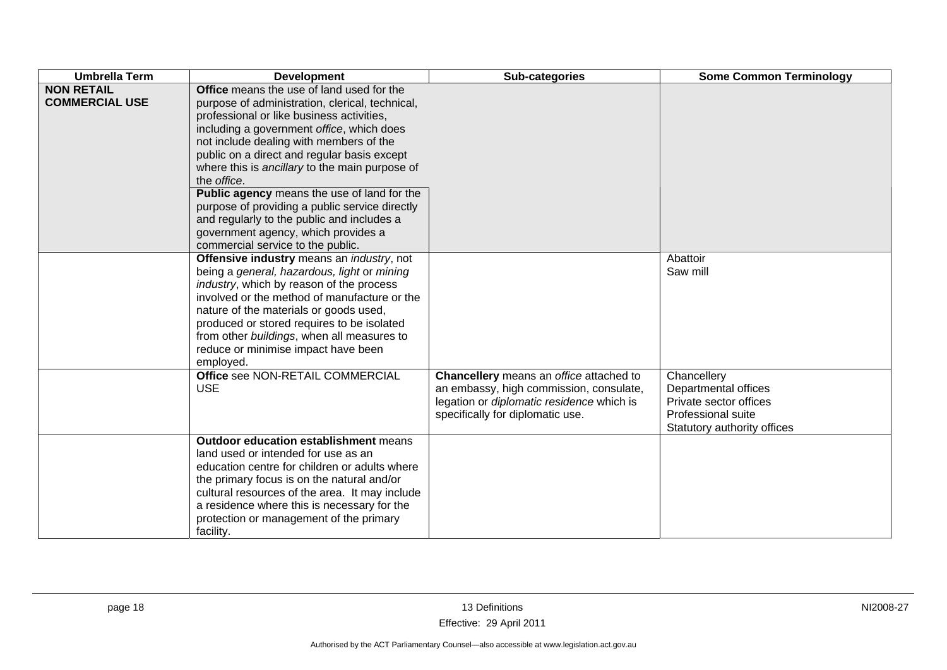| <b>Umbrella Term</b>                       | <b>Development</b>                                                                                                                                                                                                                                                                                                                                                                                                                                                                                                                                                                  | Sub-categories                                                                                                                                                      | <b>Some Common Terminology</b>                                                                                     |
|--------------------------------------------|-------------------------------------------------------------------------------------------------------------------------------------------------------------------------------------------------------------------------------------------------------------------------------------------------------------------------------------------------------------------------------------------------------------------------------------------------------------------------------------------------------------------------------------------------------------------------------------|---------------------------------------------------------------------------------------------------------------------------------------------------------------------|--------------------------------------------------------------------------------------------------------------------|
| <b>NON RETAIL</b><br><b>COMMERCIAL USE</b> | <b>Office</b> means the use of land used for the<br>purpose of administration, clerical, technical,<br>professional or like business activities,<br>including a government office, which does<br>not include dealing with members of the<br>public on a direct and regular basis except<br>where this is ancillary to the main purpose of<br>the office.<br>Public agency means the use of land for the<br>purpose of providing a public service directly<br>and regularly to the public and includes a<br>government agency, which provides a<br>commercial service to the public. |                                                                                                                                                                     |                                                                                                                    |
|                                            | Offensive industry means an industry, not<br>being a general, hazardous, light or mining<br>industry, which by reason of the process<br>involved or the method of manufacture or the<br>nature of the materials or goods used,<br>produced or stored requires to be isolated<br>from other buildings, when all measures to<br>reduce or minimise impact have been<br>employed.                                                                                                                                                                                                      |                                                                                                                                                                     | Abattoir<br>Saw mill                                                                                               |
|                                            | Office see NON-RETAIL COMMERCIAL<br><b>USE</b>                                                                                                                                                                                                                                                                                                                                                                                                                                                                                                                                      | Chancellery means an office attached to<br>an embassy, high commission, consulate,<br>legation or diplomatic residence which is<br>specifically for diplomatic use. | Chancellery<br>Departmental offices<br>Private sector offices<br>Professional suite<br>Statutory authority offices |
|                                            | <b>Outdoor education establishment means</b><br>land used or intended for use as an<br>education centre for children or adults where<br>the primary focus is on the natural and/or<br>cultural resources of the area. It may include<br>a residence where this is necessary for the<br>protection or management of the primary<br>facility.                                                                                                                                                                                                                                         |                                                                                                                                                                     |                                                                                                                    |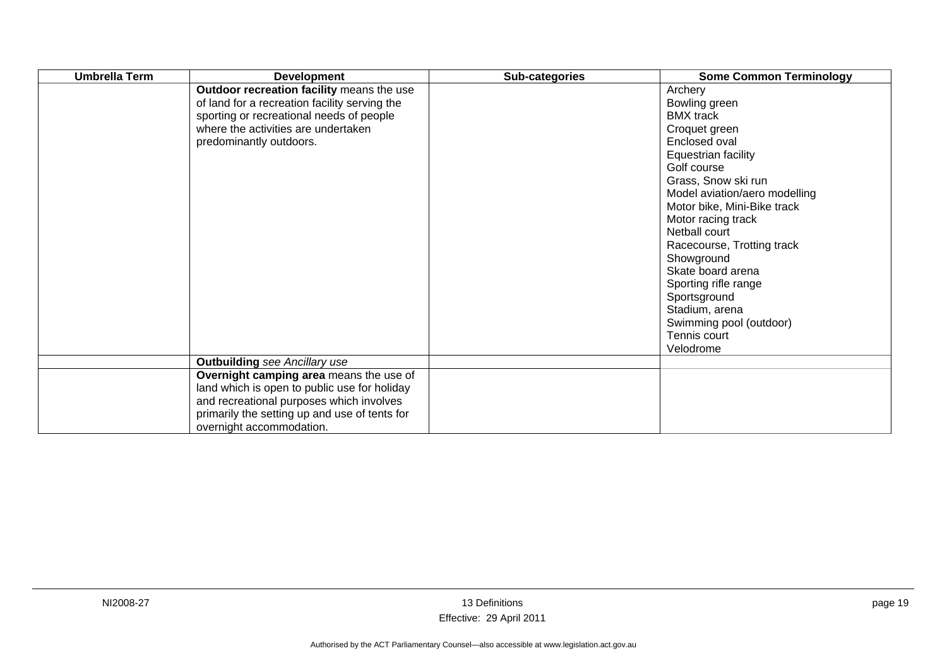| <b>Umbrella Term</b> | <b>Development</b>                                                                                                                                                                                               | Sub-categories | <b>Some Common Terminology</b>                                                                                                                                                                                                                                                                                                                                                                                                        |
|----------------------|------------------------------------------------------------------------------------------------------------------------------------------------------------------------------------------------------------------|----------------|---------------------------------------------------------------------------------------------------------------------------------------------------------------------------------------------------------------------------------------------------------------------------------------------------------------------------------------------------------------------------------------------------------------------------------------|
|                      | Outdoor recreation facility means the use<br>of land for a recreation facility serving the<br>sporting or recreational needs of people<br>where the activities are undertaken<br>predominantly outdoors.         |                | Archery<br>Bowling green<br><b>BMX</b> track<br>Croquet green<br>Enclosed oval<br>Equestrian facility<br>Golf course<br>Grass, Snow ski run<br>Model aviation/aero modelling<br>Motor bike, Mini-Bike track<br>Motor racing track<br>Netball court<br>Racecourse, Trotting track<br>Showground<br>Skate board arena<br>Sporting rifle range<br>Sportsground<br>Stadium, arena<br>Swimming pool (outdoor)<br>Tennis court<br>Velodrome |
|                      | <b>Outbuilding</b> see Ancillary use                                                                                                                                                                             |                |                                                                                                                                                                                                                                                                                                                                                                                                                                       |
|                      | Overnight camping area means the use of<br>land which is open to public use for holiday<br>and recreational purposes which involves<br>primarily the setting up and use of tents for<br>overnight accommodation. |                |                                                                                                                                                                                                                                                                                                                                                                                                                                       |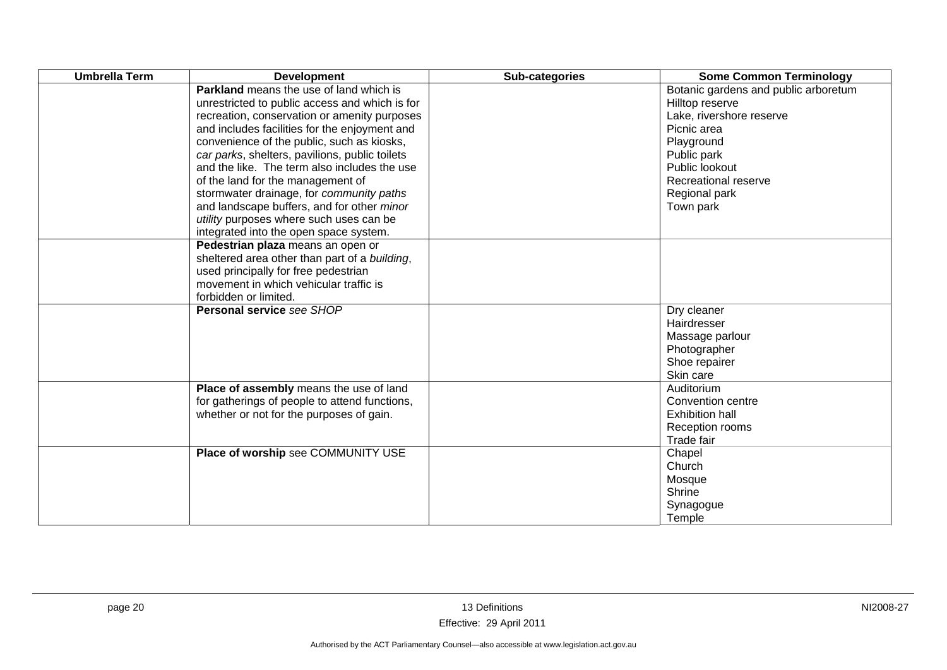| <b>Umbrella Term</b> | <b>Development</b>                                                                                                                                                                                                                                                                                                                                                                                                                                                                                                                                                    | Sub-categories | <b>Some Common Terminology</b>                                                                                                                                                                          |
|----------------------|-----------------------------------------------------------------------------------------------------------------------------------------------------------------------------------------------------------------------------------------------------------------------------------------------------------------------------------------------------------------------------------------------------------------------------------------------------------------------------------------------------------------------------------------------------------------------|----------------|---------------------------------------------------------------------------------------------------------------------------------------------------------------------------------------------------------|
|                      | <b>Parkland</b> means the use of land which is<br>unrestricted to public access and which is for<br>recreation, conservation or amenity purposes<br>and includes facilities for the enjoyment and<br>convenience of the public, such as kiosks,<br>car parks, shelters, pavilions, public toilets<br>and the like. The term also includes the use<br>of the land for the management of<br>stormwater drainage, for community paths<br>and landscape buffers, and for other minor<br>utility purposes where such uses can be<br>integrated into the open space system. |                | Botanic gardens and public arboretum<br>Hilltop reserve<br>Lake, rivershore reserve<br>Picnic area<br>Playground<br>Public park<br>Public lookout<br>Recreational reserve<br>Regional park<br>Town park |
|                      | Pedestrian plaza means an open or<br>sheltered area other than part of a building,<br>used principally for free pedestrian<br>movement in which vehicular traffic is<br>forbidden or limited.                                                                                                                                                                                                                                                                                                                                                                         |                |                                                                                                                                                                                                         |
|                      | <b>Personal service see SHOP</b>                                                                                                                                                                                                                                                                                                                                                                                                                                                                                                                                      |                | Dry cleaner<br>Hairdresser<br>Massage parlour<br>Photographer<br>Shoe repairer<br>Skin care                                                                                                             |
|                      | Place of assembly means the use of land<br>for gatherings of people to attend functions,<br>whether or not for the purposes of gain.                                                                                                                                                                                                                                                                                                                                                                                                                                  |                | Auditorium<br>Convention centre<br><b>Exhibition hall</b><br>Reception rooms<br>Trade fair                                                                                                              |
|                      | Place of worship see COMMUNITY USE                                                                                                                                                                                                                                                                                                                                                                                                                                                                                                                                    |                | Chapel<br>Church<br>Mosque<br>Shrine<br>Synagogue<br>Temple                                                                                                                                             |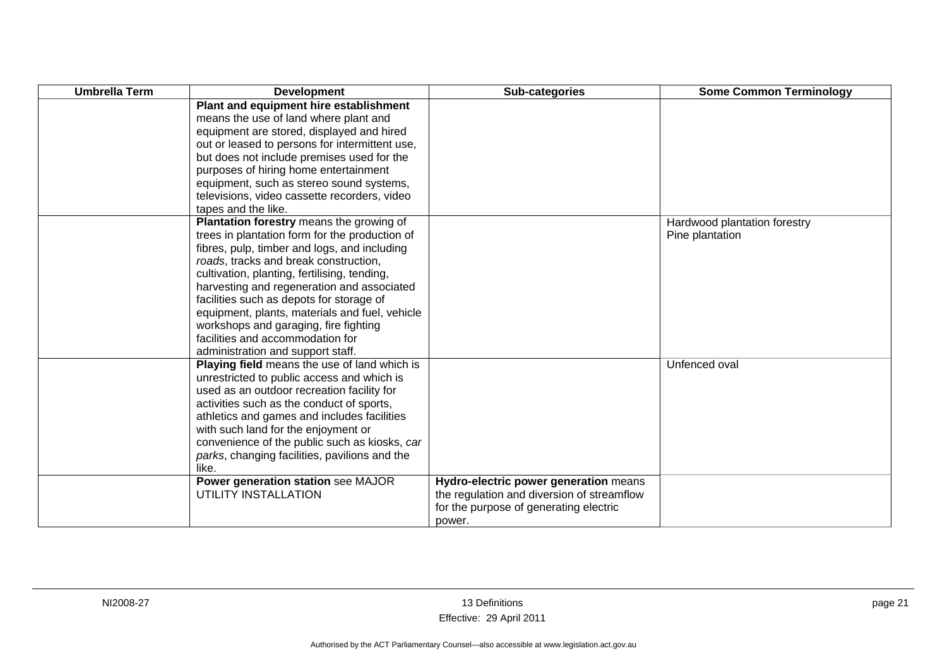| <b>Umbrella Term</b> | <b>Development</b>                             | Sub-categories                             | <b>Some Common Terminology</b> |
|----------------------|------------------------------------------------|--------------------------------------------|--------------------------------|
|                      | Plant and equipment hire establishment         |                                            |                                |
|                      | means the use of land where plant and          |                                            |                                |
|                      | equipment are stored, displayed and hired      |                                            |                                |
|                      | out or leased to persons for intermittent use, |                                            |                                |
|                      | but does not include premises used for the     |                                            |                                |
|                      | purposes of hiring home entertainment          |                                            |                                |
|                      | equipment, such as stereo sound systems,       |                                            |                                |
|                      | televisions, video cassette recorders, video   |                                            |                                |
|                      | tapes and the like.                            |                                            |                                |
|                      | Plantation forestry means the growing of       |                                            | Hardwood plantation forestry   |
|                      | trees in plantation form for the production of |                                            | Pine plantation                |
|                      | fibres, pulp, timber and logs, and including   |                                            |                                |
|                      | roads, tracks and break construction,          |                                            |                                |
|                      | cultivation, planting, fertilising, tending,   |                                            |                                |
|                      | harvesting and regeneration and associated     |                                            |                                |
|                      | facilities such as depots for storage of       |                                            |                                |
|                      | equipment, plants, materials and fuel, vehicle |                                            |                                |
|                      | workshops and garaging, fire fighting          |                                            |                                |
|                      | facilities and accommodation for               |                                            |                                |
|                      | administration and support staff.              |                                            |                                |
|                      | Playing field means the use of land which is   |                                            | Unfenced oval                  |
|                      | unrestricted to public access and which is     |                                            |                                |
|                      | used as an outdoor recreation facility for     |                                            |                                |
|                      | activities such as the conduct of sports,      |                                            |                                |
|                      | athletics and games and includes facilities    |                                            |                                |
|                      | with such land for the enjoyment or            |                                            |                                |
|                      | convenience of the public such as kiosks, car  |                                            |                                |
|                      | parks, changing facilities, pavilions and the  |                                            |                                |
|                      | like.                                          |                                            |                                |
|                      | Power generation station see MAJOR             | Hydro-electric power generation means      |                                |
|                      | UTILITY INSTALLATION                           | the regulation and diversion of streamflow |                                |
|                      |                                                | for the purpose of generating electric     |                                |
|                      |                                                | power.                                     |                                |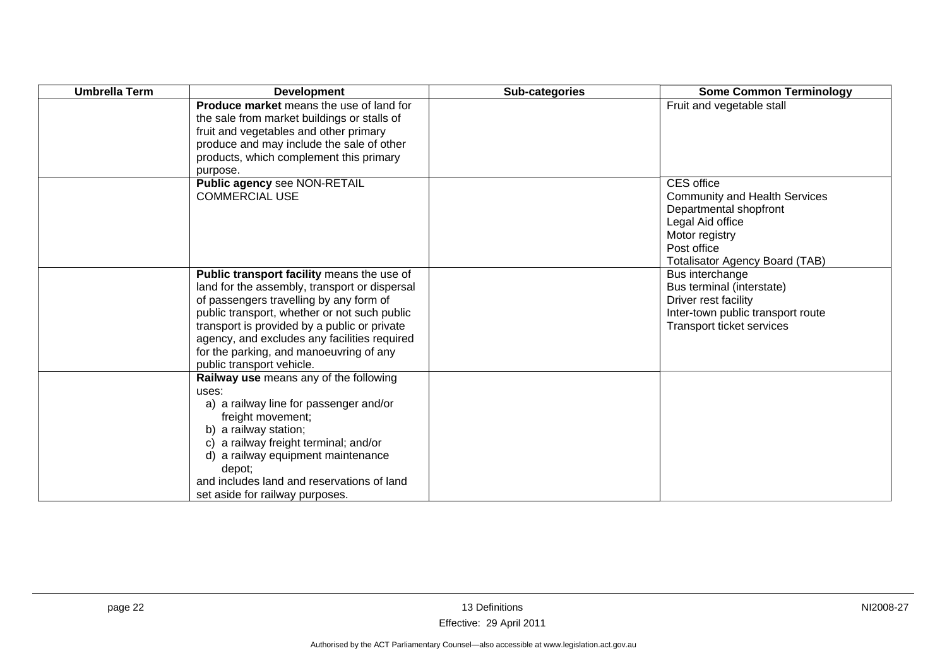| <b>Umbrella Term</b> | <b>Development</b>                                                                                                                                                                                                                                                                                                                                             | Sub-categories | <b>Some Common Terminology</b>                                                                                                                                                    |
|----------------------|----------------------------------------------------------------------------------------------------------------------------------------------------------------------------------------------------------------------------------------------------------------------------------------------------------------------------------------------------------------|----------------|-----------------------------------------------------------------------------------------------------------------------------------------------------------------------------------|
|                      | <b>Produce market</b> means the use of land for<br>the sale from market buildings or stalls of<br>fruit and vegetables and other primary<br>produce and may include the sale of other<br>products, which complement this primary<br>purpose.                                                                                                                   |                | Fruit and vegetable stall                                                                                                                                                         |
|                      | Public agency see NON-RETAIL<br><b>COMMERCIAL USE</b>                                                                                                                                                                                                                                                                                                          |                | <b>CES</b> office<br><b>Community and Health Services</b><br>Departmental shopfront<br>Legal Aid office<br>Motor registry<br>Post office<br><b>Totalisator Agency Board (TAB)</b> |
|                      | Public transport facility means the use of<br>land for the assembly, transport or dispersal<br>of passengers travelling by any form of<br>public transport, whether or not such public<br>transport is provided by a public or private<br>agency, and excludes any facilities required<br>for the parking, and manoeuvring of any<br>public transport vehicle. |                | Bus interchange<br>Bus terminal (interstate)<br>Driver rest facility<br>Inter-town public transport route<br>Transport ticket services                                            |
|                      | Railway use means any of the following<br>uses:<br>a) a railway line for passenger and/or<br>freight movement;<br>b) a railway station;<br>c) a railway freight terminal; and/or<br>d) a railway equipment maintenance<br>depot;<br>and includes land and reservations of land<br>set aside for railway purposes.                                              |                |                                                                                                                                                                                   |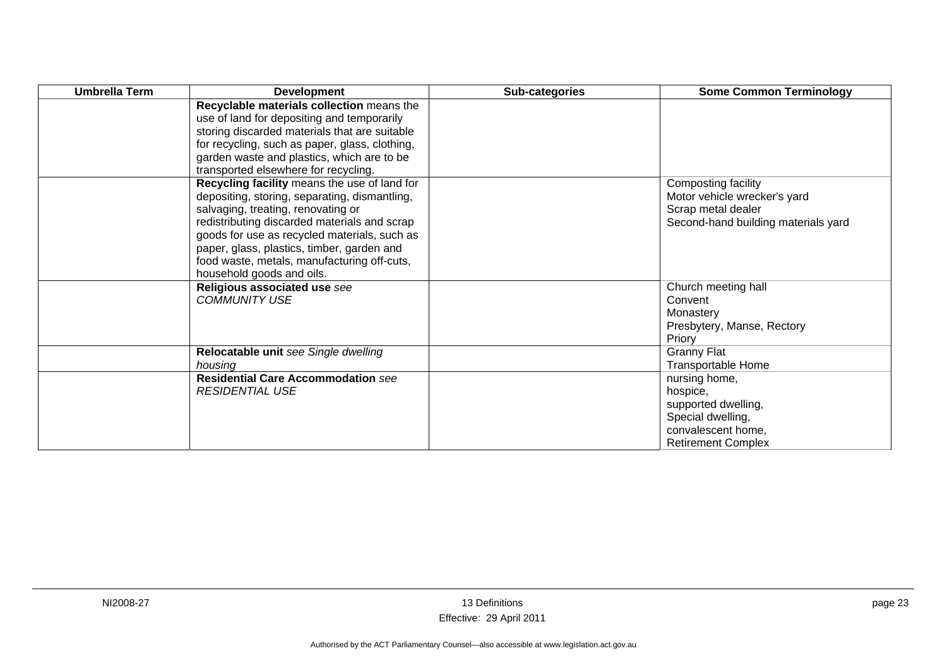| <b>Umbrella Term</b> | <b>Development</b>                                                                                                                                                                                                                                                                                                                                            | Sub-categories | <b>Some Common Terminology</b>                                                                                           |
|----------------------|---------------------------------------------------------------------------------------------------------------------------------------------------------------------------------------------------------------------------------------------------------------------------------------------------------------------------------------------------------------|----------------|--------------------------------------------------------------------------------------------------------------------------|
|                      | Recyclable materials collection means the<br>use of land for depositing and temporarily<br>storing discarded materials that are suitable<br>for recycling, such as paper, glass, clothing,<br>garden waste and plastics, which are to be                                                                                                                      |                |                                                                                                                          |
|                      | transported elsewhere for recycling.                                                                                                                                                                                                                                                                                                                          |                |                                                                                                                          |
|                      | Recycling facility means the use of land for<br>depositing, storing, separating, dismantling,<br>salvaging, treating, renovating or<br>redistributing discarded materials and scrap<br>goods for use as recycled materials, such as<br>paper, glass, plastics, timber, garden and<br>food waste, metals, manufacturing off-cuts,<br>household goods and oils. |                | Composting facility<br>Motor vehicle wrecker's yard<br>Scrap metal dealer<br>Second-hand building materials yard         |
|                      | Religious associated use see<br><b>COMMUNITY USE</b>                                                                                                                                                                                                                                                                                                          |                | Church meeting hall<br>Convent<br>Monastery<br>Presbytery, Manse, Rectory<br>Priory                                      |
|                      | Relocatable unit see Single dwelling<br>housing                                                                                                                                                                                                                                                                                                               |                | <b>Granny Flat</b><br>Transportable Home                                                                                 |
|                      | <b>Residential Care Accommodation see</b><br><b>RESIDENTIAL USE</b>                                                                                                                                                                                                                                                                                           |                | nursing home,<br>hospice,<br>supported dwelling,<br>Special dwelling,<br>convalescent home,<br><b>Retirement Complex</b> |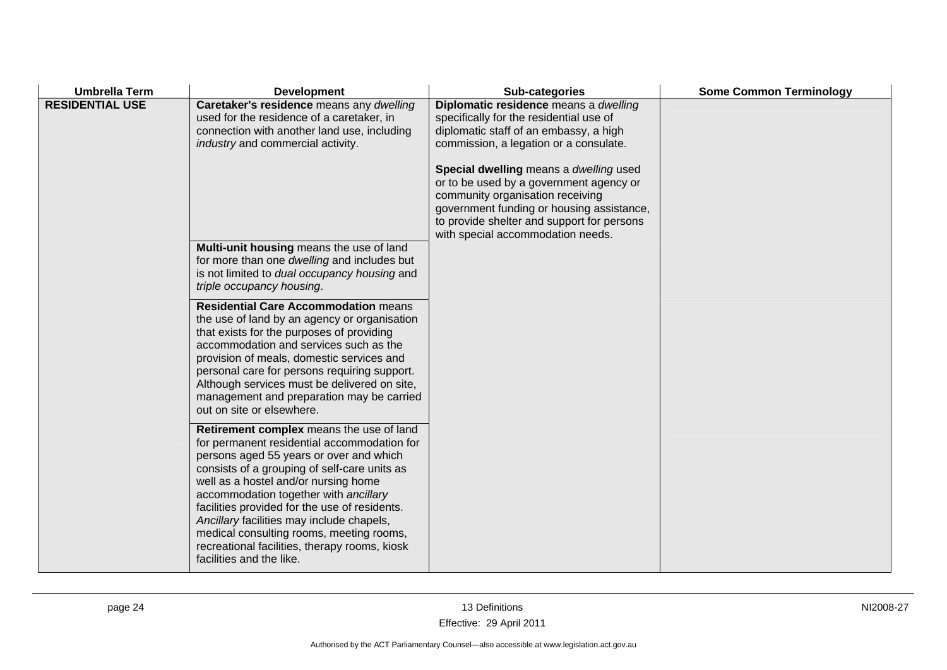| <b>Umbrella Term</b>   | <b>Development</b>                                                                                                                                                                                                                                                                                                                                                                                                                                                                         | Sub-categories                                                                                                                                                                                                                                        | <b>Some Common Terminology</b> |
|------------------------|--------------------------------------------------------------------------------------------------------------------------------------------------------------------------------------------------------------------------------------------------------------------------------------------------------------------------------------------------------------------------------------------------------------------------------------------------------------------------------------------|-------------------------------------------------------------------------------------------------------------------------------------------------------------------------------------------------------------------------------------------------------|--------------------------------|
| <b>RESIDENTIAL USE</b> | Caretaker's residence means any dwelling<br>used for the residence of a caretaker, in<br>connection with another land use, including<br>industry and commercial activity.                                                                                                                                                                                                                                                                                                                  | Diplomatic residence means a dwelling<br>specifically for the residential use of<br>diplomatic staff of an embassy, a high<br>commission, a legation or a consulate.                                                                                  |                                |
|                        |                                                                                                                                                                                                                                                                                                                                                                                                                                                                                            | Special dwelling means a dwelling used<br>or to be used by a government agency or<br>community organisation receiving<br>government funding or housing assistance,<br>to provide shelter and support for persons<br>with special accommodation needs. |                                |
|                        | Multi-unit housing means the use of land<br>for more than one dwelling and includes but<br>is not limited to dual occupancy housing and<br>triple occupancy housing.                                                                                                                                                                                                                                                                                                                       |                                                                                                                                                                                                                                                       |                                |
|                        | <b>Residential Care Accommodation means</b><br>the use of land by an agency or organisation<br>that exists for the purposes of providing<br>accommodation and services such as the<br>provision of meals, domestic services and<br>personal care for persons requiring support.<br>Although services must be delivered on site,<br>management and preparation may be carried<br>out on site or elsewhere.                                                                                  |                                                                                                                                                                                                                                                       |                                |
|                        | Retirement complex means the use of land<br>for permanent residential accommodation for<br>persons aged 55 years or over and which<br>consists of a grouping of self-care units as<br>well as a hostel and/or nursing home<br>accommodation together with ancillary<br>facilities provided for the use of residents.<br>Ancillary facilities may include chapels,<br>medical consulting rooms, meeting rooms,<br>recreational facilities, therapy rooms, kiosk<br>facilities and the like. |                                                                                                                                                                                                                                                       |                                |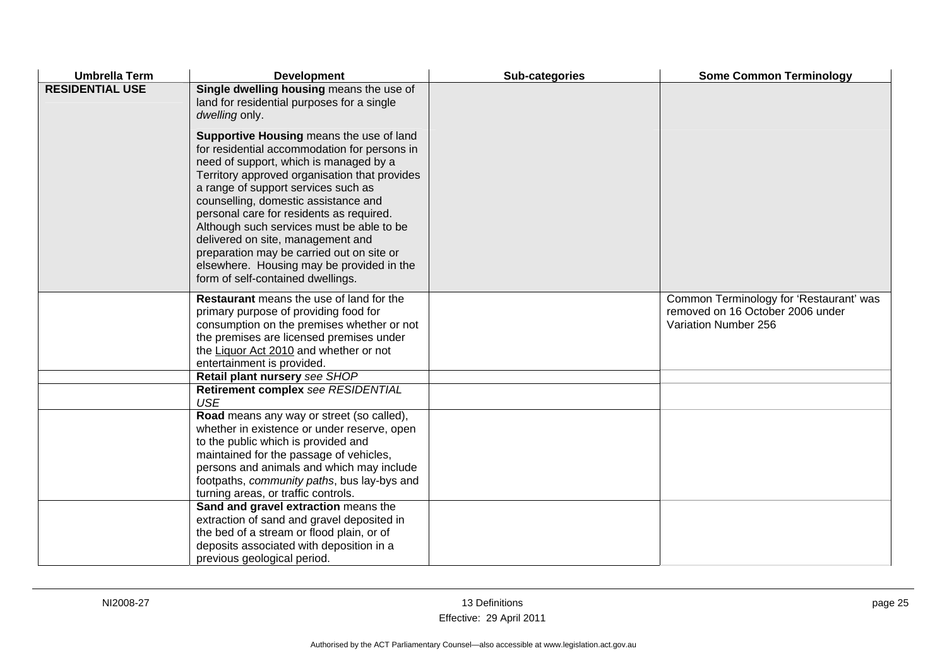| <b>Umbrella Term</b>   | <b>Development</b>                                                                                                                                                                                                                                                                                                                                                                                                                                                                                                              | Sub-categories | <b>Some Common Terminology</b>                                                                      |
|------------------------|---------------------------------------------------------------------------------------------------------------------------------------------------------------------------------------------------------------------------------------------------------------------------------------------------------------------------------------------------------------------------------------------------------------------------------------------------------------------------------------------------------------------------------|----------------|-----------------------------------------------------------------------------------------------------|
| <b>RESIDENTIAL USE</b> | Single dwelling housing means the use of<br>land for residential purposes for a single<br>dwelling only.                                                                                                                                                                                                                                                                                                                                                                                                                        |                |                                                                                                     |
|                        | Supportive Housing means the use of land<br>for residential accommodation for persons in<br>need of support, which is managed by a<br>Territory approved organisation that provides<br>a range of support services such as<br>counselling, domestic assistance and<br>personal care for residents as required.<br>Although such services must be able to be<br>delivered on site, management and<br>preparation may be carried out on site or<br>elsewhere. Housing may be provided in the<br>form of self-contained dwellings. |                |                                                                                                     |
|                        | Restaurant means the use of land for the<br>primary purpose of providing food for<br>consumption on the premises whether or not<br>the premises are licensed premises under<br>the Liquor Act 2010 and whether or not<br>entertainment is provided.                                                                                                                                                                                                                                                                             |                | Common Terminology for 'Restaurant' was<br>removed on 16 October 2006 under<br>Variation Number 256 |
|                        | Retail plant nursery see SHOP                                                                                                                                                                                                                                                                                                                                                                                                                                                                                                   |                |                                                                                                     |
|                        | Retirement complex see RESIDENTIAL<br><b>USE</b>                                                                                                                                                                                                                                                                                                                                                                                                                                                                                |                |                                                                                                     |
|                        | Road means any way or street (so called),<br>whether in existence or under reserve, open<br>to the public which is provided and<br>maintained for the passage of vehicles,<br>persons and animals and which may include<br>footpaths, community paths, bus lay-bys and<br>turning areas, or traffic controls.                                                                                                                                                                                                                   |                |                                                                                                     |
|                        | Sand and gravel extraction means the<br>extraction of sand and gravel deposited in<br>the bed of a stream or flood plain, or of<br>deposits associated with deposition in a<br>previous geological period.                                                                                                                                                                                                                                                                                                                      |                |                                                                                                     |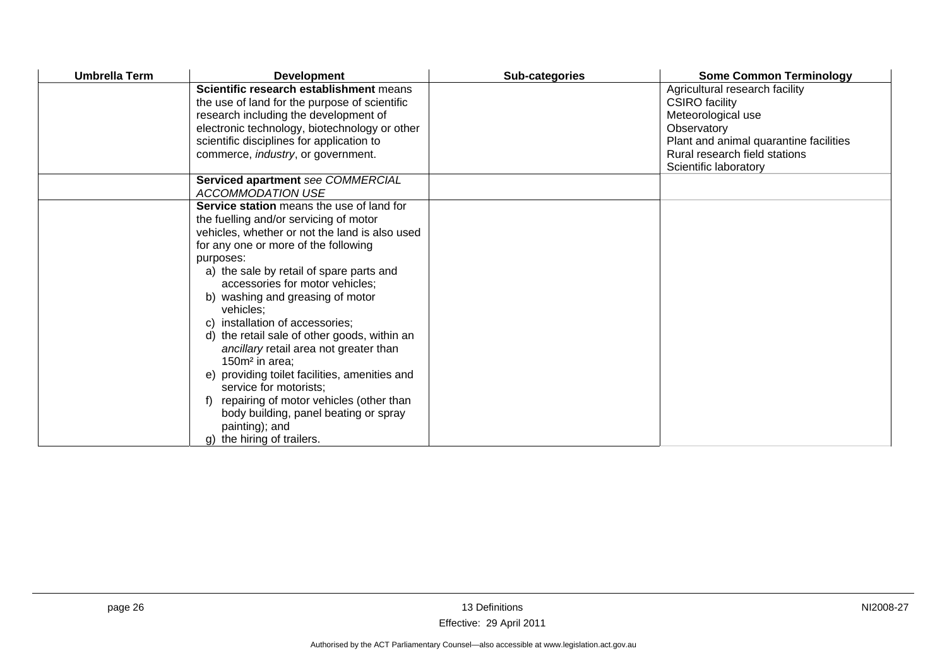| <b>Umbrella Term</b> | <b>Development</b>                             | Sub-categories | <b>Some Common Terminology</b>                         |
|----------------------|------------------------------------------------|----------------|--------------------------------------------------------|
|                      | Scientific research establishment means        |                | Agricultural research facility                         |
|                      | the use of land for the purpose of scientific  |                | <b>CSIRO</b> facility                                  |
|                      | research including the development of          |                | Meteorological use                                     |
|                      | electronic technology, biotechnology or other  |                | Observatory                                            |
|                      | scientific disciplines for application to      |                | Plant and animal quarantine facilities                 |
|                      | commerce, <i>industry</i> , or government.     |                | Rural research field stations<br>Scientific laboratory |
|                      | Serviced apartment see COMMERCIAL              |                |                                                        |
|                      | <b>ACCOMMODATION USE</b>                       |                |                                                        |
|                      | Service station means the use of land for      |                |                                                        |
|                      | the fuelling and/or servicing of motor         |                |                                                        |
|                      | vehicles, whether or not the land is also used |                |                                                        |
|                      | for any one or more of the following           |                |                                                        |
|                      | purposes:                                      |                |                                                        |
|                      | a) the sale by retail of spare parts and       |                |                                                        |
|                      | accessories for motor vehicles;                |                |                                                        |
|                      | b) washing and greasing of motor               |                |                                                        |
|                      | vehicles:                                      |                |                                                        |
|                      | c) installation of accessories;                |                |                                                        |
|                      | d) the retail sale of other goods, within an   |                |                                                        |
|                      | ancillary retail area not greater than         |                |                                                        |
|                      | 150m <sup>2</sup> in area:                     |                |                                                        |
|                      | e) providing toilet facilities, amenities and  |                |                                                        |
|                      | service for motorists:                         |                |                                                        |
|                      | f) repairing of motor vehicles (other than     |                |                                                        |
|                      | body building, panel beating or spray          |                |                                                        |
|                      | painting); and                                 |                |                                                        |
|                      | g) the hiring of trailers.                     |                |                                                        |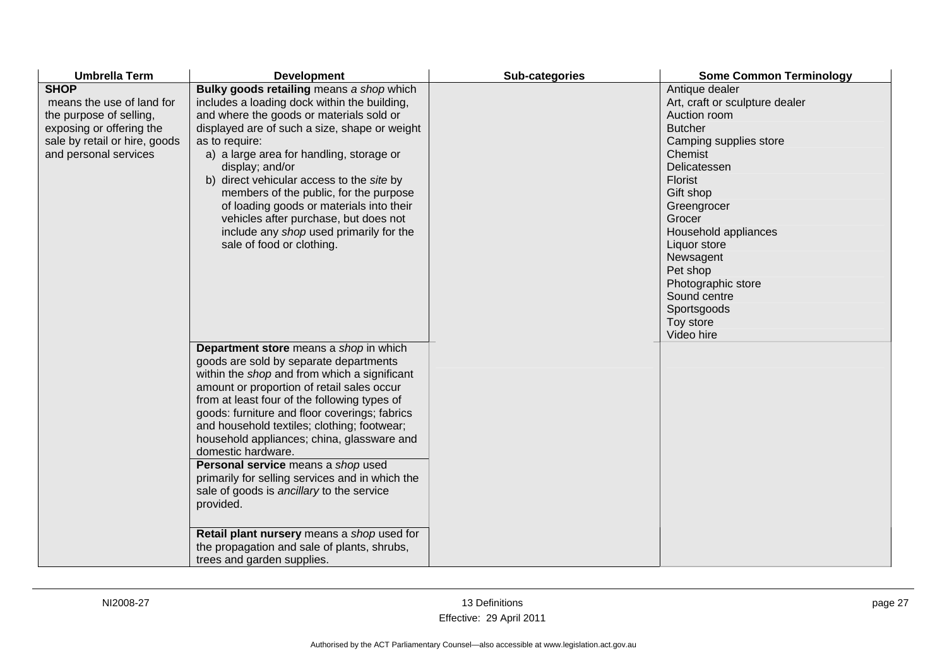| <b>Umbrella Term</b>                                                                                                                                      | <b>Development</b>                                                                                                                                                                                                                                                                                                                                                                                                                                                                                                                                                                                                                                                               | Sub-categories | <b>Some Common Terminology</b>                                                                                                                                                                                                                                                                                                                   |
|-----------------------------------------------------------------------------------------------------------------------------------------------------------|----------------------------------------------------------------------------------------------------------------------------------------------------------------------------------------------------------------------------------------------------------------------------------------------------------------------------------------------------------------------------------------------------------------------------------------------------------------------------------------------------------------------------------------------------------------------------------------------------------------------------------------------------------------------------------|----------------|--------------------------------------------------------------------------------------------------------------------------------------------------------------------------------------------------------------------------------------------------------------------------------------------------------------------------------------------------|
| <b>SHOP</b><br>means the use of land for<br>the purpose of selling,<br>exposing or offering the<br>sale by retail or hire, goods<br>and personal services | Bulky goods retailing means a shop which<br>includes a loading dock within the building,<br>and where the goods or materials sold or<br>displayed are of such a size, shape or weight<br>as to require:<br>a) a large area for handling, storage or<br>display; and/or<br>b) direct vehicular access to the site by<br>members of the public, for the purpose<br>of loading goods or materials into their<br>vehicles after purchase, but does not<br>include any shop used primarily for the<br>sale of food or clothing.                                                                                                                                                       |                | Antique dealer<br>Art, craft or sculpture dealer<br>Auction room<br><b>Butcher</b><br>Camping supplies store<br>Chemist<br>Delicatessen<br><b>Florist</b><br>Gift shop<br>Greengrocer<br>Grocer<br>Household appliances<br>Liquor store<br>Newsagent<br>Pet shop<br>Photographic store<br>Sound centre<br>Sportsgoods<br>Toy store<br>Video hire |
|                                                                                                                                                           | Department store means a shop in which<br>goods are sold by separate departments<br>within the shop and from which a significant<br>amount or proportion of retail sales occur<br>from at least four of the following types of<br>goods: furniture and floor coverings; fabrics<br>and household textiles; clothing; footwear;<br>household appliances; china, glassware and<br>domestic hardware.<br>Personal service means a shop used<br>primarily for selling services and in which the<br>sale of goods is ancillary to the service<br>provided.<br>Retail plant nursery means a shop used for<br>the propagation and sale of plants, shrubs,<br>trees and garden supplies. |                |                                                                                                                                                                                                                                                                                                                                                  |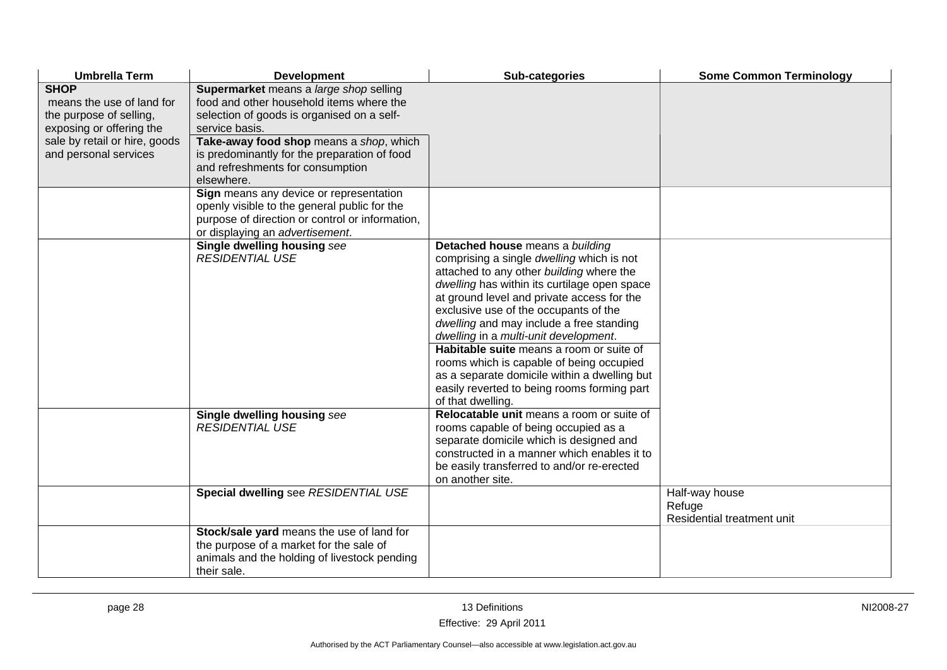| <b>Umbrella Term</b>                                                                                                             | <b>Development</b>                                                                                                                                                                            | Sub-categories                                                                                                                                                                                                                                                                                                                                                                                                                                                                                                                                                   | <b>Some Common Terminology</b>                         |
|----------------------------------------------------------------------------------------------------------------------------------|-----------------------------------------------------------------------------------------------------------------------------------------------------------------------------------------------|------------------------------------------------------------------------------------------------------------------------------------------------------------------------------------------------------------------------------------------------------------------------------------------------------------------------------------------------------------------------------------------------------------------------------------------------------------------------------------------------------------------------------------------------------------------|--------------------------------------------------------|
| <b>SHOP</b><br>means the use of land for<br>the purpose of selling,<br>exposing or offering the<br>sale by retail or hire, goods | Supermarket means a large shop selling<br>food and other household items where the<br>selection of goods is organised on a self-<br>service basis.<br>Take-away food shop means a shop, which |                                                                                                                                                                                                                                                                                                                                                                                                                                                                                                                                                                  |                                                        |
| and personal services                                                                                                            | is predominantly for the preparation of food<br>and refreshments for consumption<br>elsewhere.                                                                                                |                                                                                                                                                                                                                                                                                                                                                                                                                                                                                                                                                                  |                                                        |
|                                                                                                                                  | Sign means any device or representation<br>openly visible to the general public for the<br>purpose of direction or control or information,<br>or displaying an advertisement.                 |                                                                                                                                                                                                                                                                                                                                                                                                                                                                                                                                                                  |                                                        |
|                                                                                                                                  | Single dwelling housing see<br><b>RESIDENTIAL USE</b>                                                                                                                                         | Detached house means a building<br>comprising a single dwelling which is not<br>attached to any other building where the<br>dwelling has within its curtilage open space<br>at ground level and private access for the<br>exclusive use of the occupants of the<br>dwelling and may include a free standing<br>dwelling in a multi-unit development.<br>Habitable suite means a room or suite of<br>rooms which is capable of being occupied<br>as a separate domicile within a dwelling but<br>easily reverted to being rooms forming part<br>of that dwelling. |                                                        |
|                                                                                                                                  | Single dwelling housing see<br><b>RESIDENTIAL USE</b>                                                                                                                                         | Relocatable unit means a room or suite of<br>rooms capable of being occupied as a<br>separate domicile which is designed and<br>constructed in a manner which enables it to<br>be easily transferred to and/or re-erected<br>on another site.                                                                                                                                                                                                                                                                                                                    |                                                        |
|                                                                                                                                  | Special dwelling see RESIDENTIAL USE                                                                                                                                                          |                                                                                                                                                                                                                                                                                                                                                                                                                                                                                                                                                                  | Half-way house<br>Refuge<br>Residential treatment unit |
|                                                                                                                                  | Stock/sale yard means the use of land for<br>the purpose of a market for the sale of<br>animals and the holding of livestock pending<br>their sale.                                           |                                                                                                                                                                                                                                                                                                                                                                                                                                                                                                                                                                  |                                                        |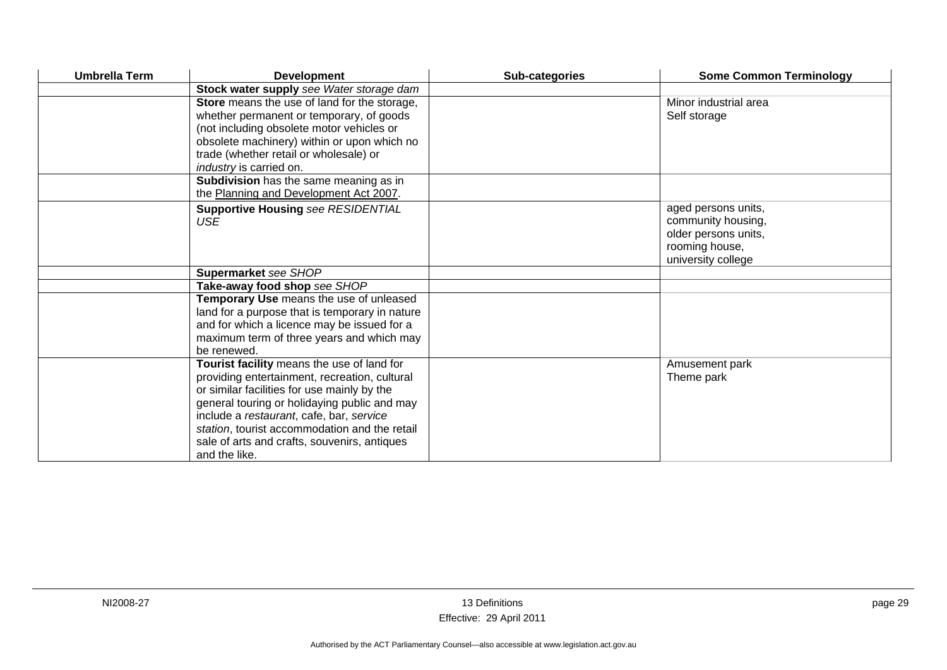| <b>Umbrella Term</b> | <b>Development</b>                                                                                                                                                                                                                                                                                                                                       | Sub-categories | <b>Some Common Terminology</b>                                                                            |
|----------------------|----------------------------------------------------------------------------------------------------------------------------------------------------------------------------------------------------------------------------------------------------------------------------------------------------------------------------------------------------------|----------------|-----------------------------------------------------------------------------------------------------------|
|                      | Stock water supply see Water storage dam                                                                                                                                                                                                                                                                                                                 |                |                                                                                                           |
|                      | Store means the use of land for the storage,<br>whether permanent or temporary, of goods<br>(not including obsolete motor vehicles or<br>obsolete machinery) within or upon which no<br>trade (whether retail or wholesale) or<br>industry is carried on.                                                                                                |                | Minor industrial area<br>Self storage                                                                     |
|                      | Subdivision has the same meaning as in<br>the Planning and Development Act 2007.                                                                                                                                                                                                                                                                         |                |                                                                                                           |
|                      | <b>Supportive Housing see RESIDENTIAL</b><br><b>USE</b>                                                                                                                                                                                                                                                                                                  |                | aged persons units,<br>community housing,<br>older persons units,<br>rooming house,<br>university college |
|                      | Supermarket see SHOP                                                                                                                                                                                                                                                                                                                                     |                |                                                                                                           |
|                      | Take-away food shop see SHOP                                                                                                                                                                                                                                                                                                                             |                |                                                                                                           |
|                      | Temporary Use means the use of unleased<br>land for a purpose that is temporary in nature<br>and for which a licence may be issued for a<br>maximum term of three years and which may<br>be renewed.                                                                                                                                                     |                |                                                                                                           |
|                      | Tourist facility means the use of land for<br>providing entertainment, recreation, cultural<br>or similar facilities for use mainly by the<br>general touring or holidaying public and may<br>include a restaurant, cafe, bar, service<br>station, tourist accommodation and the retail<br>sale of arts and crafts, souvenirs, antiques<br>and the like. |                | Amusement park<br>Theme park                                                                              |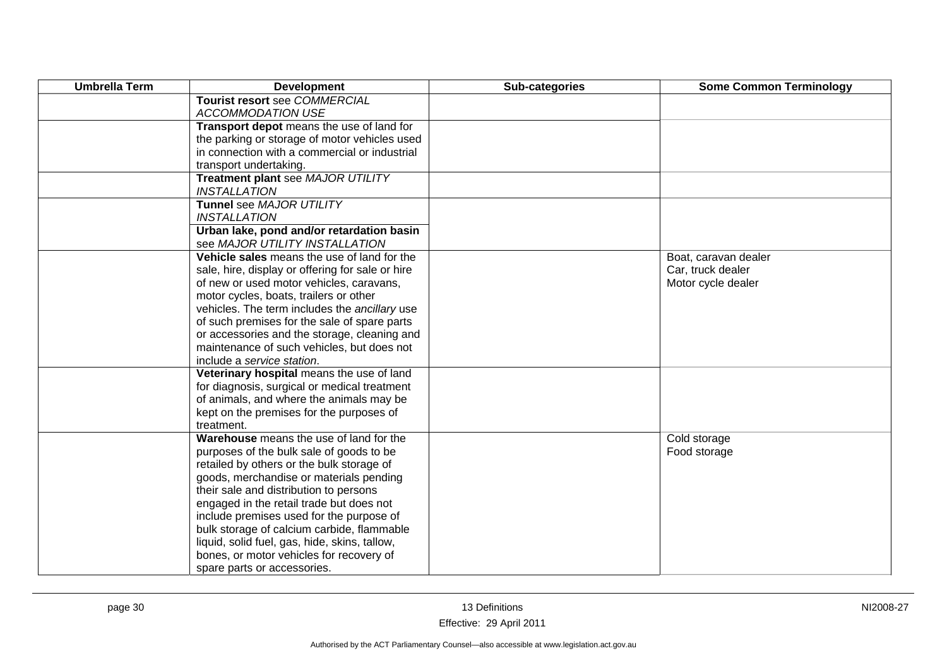| <b>Umbrella Term</b> | <b>Development</b>                                       | Sub-categories | <b>Some Common Terminology</b> |
|----------------------|----------------------------------------------------------|----------------|--------------------------------|
|                      | Tourist resort see COMMERCIAL                            |                |                                |
|                      | <b>ACCOMMODATION USE</b>                                 |                |                                |
|                      | Transport depot means the use of land for                |                |                                |
|                      | the parking or storage of motor vehicles used            |                |                                |
|                      | in connection with a commercial or industrial            |                |                                |
|                      | transport undertaking.                                   |                |                                |
|                      | Treatment plant see MAJOR UTILITY<br><b>INSTALLATION</b> |                |                                |
|                      | Tunnel see MAJOR UTILITY                                 |                |                                |
|                      | <b>INSTALLATION</b>                                      |                |                                |
|                      | Urban lake, pond and/or retardation basin                |                |                                |
|                      | see MAJOR UTILITY INSTALLATION                           |                |                                |
|                      | Vehicle sales means the use of land for the              |                | Boat, caravan dealer           |
|                      | sale, hire, display or offering for sale or hire         |                | Car, truck dealer              |
|                      | of new or used motor vehicles, caravans,                 |                | Motor cycle dealer             |
|                      | motor cycles, boats, trailers or other                   |                |                                |
|                      | vehicles. The term includes the ancillary use            |                |                                |
|                      | of such premises for the sale of spare parts             |                |                                |
|                      | or accessories and the storage, cleaning and             |                |                                |
|                      | maintenance of such vehicles, but does not               |                |                                |
|                      | include a service station.                               |                |                                |
|                      | Veterinary hospital means the use of land                |                |                                |
|                      | for diagnosis, surgical or medical treatment             |                |                                |
|                      | of animals, and where the animals may be                 |                |                                |
|                      | kept on the premises for the purposes of                 |                |                                |
|                      | treatment.                                               |                |                                |
|                      | Warehouse means the use of land for the                  |                | Cold storage                   |
|                      | purposes of the bulk sale of goods to be                 |                | Food storage                   |
|                      | retailed by others or the bulk storage of                |                |                                |
|                      | goods, merchandise or materials pending                  |                |                                |
|                      | their sale and distribution to persons                   |                |                                |
|                      | engaged in the retail trade but does not                 |                |                                |
|                      | include premises used for the purpose of                 |                |                                |
|                      | bulk storage of calcium carbide, flammable               |                |                                |
|                      | liquid, solid fuel, gas, hide, skins, tallow,            |                |                                |
|                      | bones, or motor vehicles for recovery of                 |                |                                |
|                      | spare parts or accessories.                              |                |                                |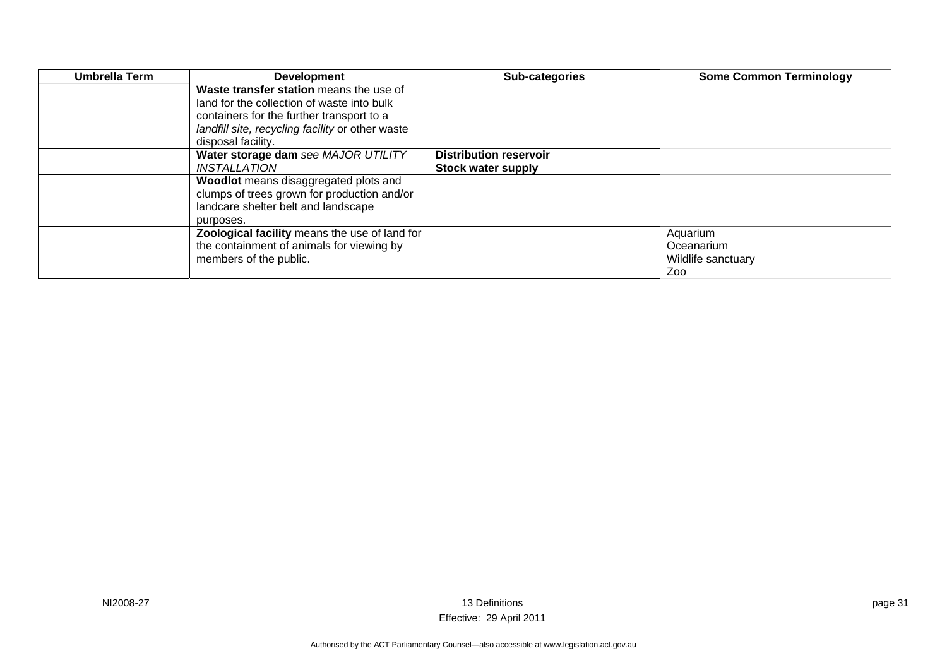| Umbrella Term | <b>Development</b>                               | Sub-categories                | <b>Some Common Terminology</b> |
|---------------|--------------------------------------------------|-------------------------------|--------------------------------|
|               | Waste transfer station means the use of          |                               |                                |
|               | land for the collection of waste into bulk       |                               |                                |
|               | containers for the further transport to a        |                               |                                |
|               | landfill site, recycling facility or other waste |                               |                                |
|               | disposal facility.                               |                               |                                |
|               | Water storage dam see MAJOR UTILITY              | <b>Distribution reservoir</b> |                                |
|               | INSTALLATION                                     | <b>Stock water supply</b>     |                                |
|               | Woodlot means disaggregated plots and            |                               |                                |
|               | clumps of trees grown for production and/or      |                               |                                |
|               | landcare shelter belt and landscape              |                               |                                |
|               | purposes.                                        |                               |                                |
|               | Zoological facility means the use of land for    |                               | Aquarium                       |
|               | the containment of animals for viewing by        |                               | Oceanarium                     |
|               | members of the public.                           |                               | Wildlife sanctuary             |
|               |                                                  |                               | Zoo                            |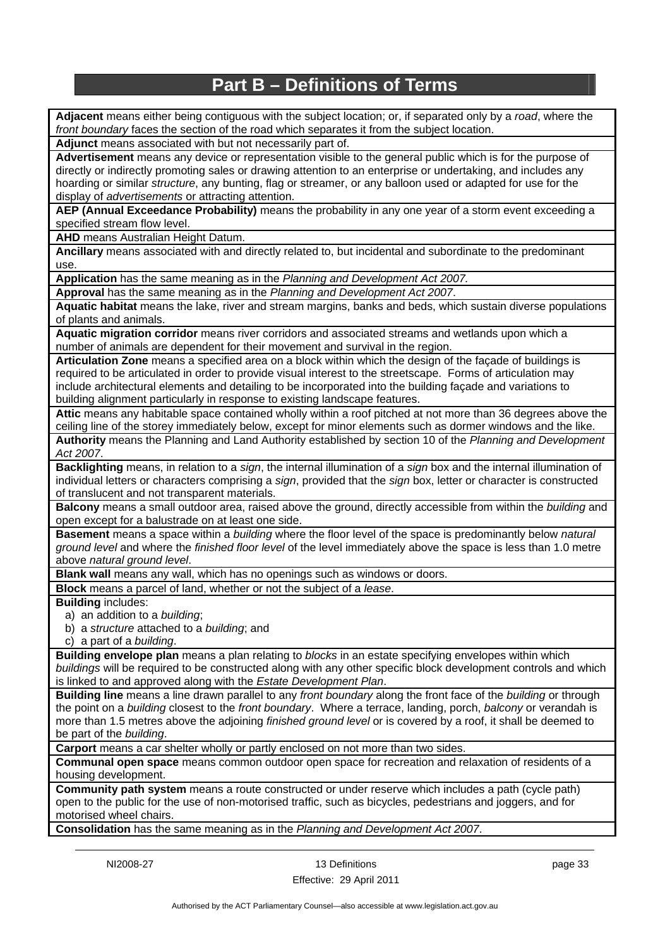## **Part B – Definitions of Terms**

**Adjacent** means either being contiguous with the subject location; or, if separated only by a *road*, where the *front boundary* faces the section of the road which separates it from the subject location.

**Adjunct** means associated with but not necessarily part of.

**Advertisement** means any device or representation visible to the general public which is for the purpose of directly or indirectly promoting sales or drawing attention to an enterprise or undertaking, and includes any hoarding or similar *structure*, any bunting, flag or streamer, or any balloon used or adapted for use for the display of *advertisements* or attracting attention.

**AEP (Annual Exceedance Probability)** means the probability in any one year of a storm event exceeding a specified stream flow level.

**AHD** means Australian Height Datum.

**Ancillary** means associated with and directly related to, but incidental and subordinate to the predominant use.

**Application** has the same meaning as in the *Planning and Development Act 2007.*

**Approval** has the same meaning as in the *Planning and Development Act 2007*.

**Aquatic habitat** means the lake, river and stream margins, banks and beds, which sustain diverse populations of plants and animals.

**Aquatic migration corridor** means river corridors and associated streams and wetlands upon which a number of animals are dependent for their movement and survival in the region.

**Articulation Zone** means a specified area on a block within which the design of the façade of buildings is required to be articulated in order to provide visual interest to the streetscape. Forms of articulation may include architectural elements and detailing to be incorporated into the building façade and variations to building alignment particularly in response to existing landscape features.

**Attic** means any habitable space contained wholly within a roof pitched at not more than 36 degrees above the ceiling line of the storey immediately below, except for minor elements such as dormer windows and the like.

**Authority** means the Planning and Land Authority established by section 10 of the *Planning and Development Act 2007*.

**Backlighting** means, in relation to a *sign*, the internal illumination of a *sign* box and the internal illumination of individual letters or characters comprising a *sign*, provided that the *sign* box, letter or character is constructed of translucent and not transparent materials.

**Balcony** means a small outdoor area, raised above the ground, directly accessible from within the *building* and open except for a balustrade on at least one side.

**Basement** means a space within a *building* where the floor level of the space is predominantly below *natural ground level* and where the *finished floor level* of the level immediately above the space is less than 1.0 metre above *natural ground level*.

**Blank wall** means any wall, which has no openings such as windows or doors.

**Block** means a parcel of land, whether or not the subject of a *lease*.

**Building** includes:

- a) an addition to a *building*;
- b) a *structure* attached to a *building*; and

c) a part of a *building*.

**Building envelope plan** means a plan relating to *blocks* in an estate specifying envelopes within which *buildings* will be required to be constructed along with any other specific block development controls and which is linked to and approved along with the *Estate Development Plan*.

**Building line** means a line drawn parallel to any *front boundary* along the front face of the *building* or through the point on a *building* closest to the *front boundary*. Where a terrace, landing, porch, *balcony* or verandah is more than 1.5 metres above the adjoining *finished ground level* or is covered by a roof, it shall be deemed to be part of the *building*.

**Carport** means a car shelter wholly or partly enclosed on not more than two sides.

**Communal open space** means common outdoor open space for recreation and relaxation of residents of a housing development.

**Community path system** means a route constructed or under reserve which includes a path (cycle path) open to the public for the use of non-motorised traffic, such as bicycles, pedestrians and joggers, and for motorised wheel chairs.

**Consolidation** has the same meaning as in the *Planning and Development Act 2007*.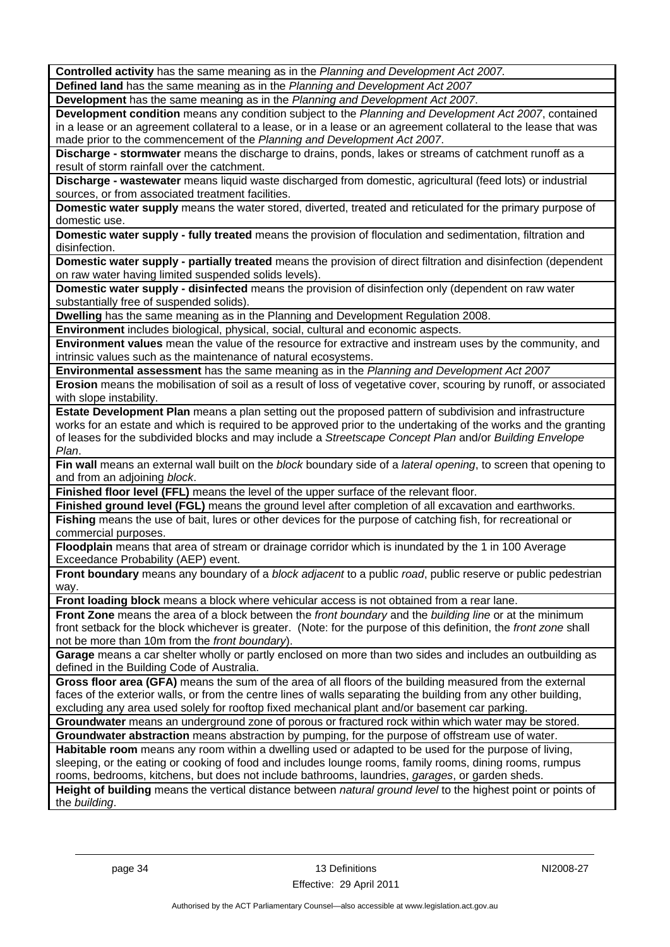**Controlled activity** has the same meaning as in the *Planning and Development Act 2007.*

**Defined land** has the same meaning as in the *Planning and Development Act 2007* **Development** has the same meaning as in the *Planning and Development Act 2007*.

**Development condition** means any condition subject to the *Planning and Development Act 2007*, contained in a lease or an agreement collateral to a lease, or in a lease or an agreement collateral to the lease that was made prior to the commencement of the *Planning and Development Act 2007*.

**Discharge - stormwater** means the discharge to drains, ponds, lakes or streams of catchment runoff as a result of storm rainfall over the catchment.

**Discharge - wastewater** means liquid waste discharged from domestic, agricultural (feed lots) or industrial sources, or from associated treatment facilities.

**Domestic water supply** means the water stored, diverted, treated and reticulated for the primary purpose of domestic use.

**Domestic water supply - fully treated** means the provision of floculation and sedimentation, filtration and disinfection.

**Domestic water supply - partially treated** means the provision of direct filtration and disinfection (dependent on raw water having limited suspended solids levels).

**Domestic water supply - disinfected** means the provision of disinfection only (dependent on raw water substantially free of suspended solids).

**Dwelling** has the same meaning as in the Planning and Development Regulation 2008.

**Environment** includes biological, physical, social, cultural and economic aspects.

**Environment values** mean the value of the resource for extractive and instream uses by the community, and intrinsic values such as the maintenance of natural ecosystems.

**Environmental assessment** has the same meaning as in the *Planning and Development Act 2007*

**Erosion** means the mobilisation of soil as a result of loss of vegetative cover, scouring by runoff, or associated with slope instability.

**Estate Development Plan** means a plan setting out the proposed pattern of subdivision and infrastructure works for an estate and which is required to be approved prior to the undertaking of the works and the granting of leases for the subdivided blocks and may include a *Streetscape Concept Plan* and/or *Building Envelope Plan*.

**Fin wall** means an external wall built on the *block* boundary side of a *lateral opening*, to screen that opening to and from an adjoining *block*.

**Finished floor level (FFL)** means the level of the upper surface of the relevant floor.

**Finished ground level (FGL)** means the ground level after completion of all excavation and earthworks.

**Fishing** means the use of bait, lures or other devices for the purpose of catching fish, for recreational or commercial purposes.

**Floodplain** means that area of stream or drainage corridor which is inundated by the 1 in 100 Average Exceedance Probability (AEP) event.

**Front boundary** means any boundary of a *block adjacent* to a public *road*, public reserve or public pedestrian way.

**Front loading block** means a block where vehicular access is not obtained from a rear lane.

**Front Zone** means the area of a block between the *front boundary* and the *building line* or at the minimum front setback for the block whichever is greater. (Note: for the purpose of this definition, the *front zone* shall not be more than 10m from the *front boundary*).

**Garage** means a car shelter wholly or partly enclosed on more than two sides and includes an outbuilding as defined in the Building Code of Australia.

**Gross floor area (GFA)** means the sum of the area of all floors of the building measured from the external faces of the exterior walls, or from the centre lines of walls separating the building from any other building, excluding any area used solely for rooftop fixed mechanical plant and/or basement car parking.

**Groundwater** means an underground zone of porous or fractured rock within which water may be stored. **Groundwater abstraction** means abstraction by pumping, for the purpose of offstream use of water.

**Habitable room** means any room within a dwelling used or adapted to be used for the purpose of living, sleeping, or the eating or cooking of food and includes lounge rooms, family rooms, dining rooms, rumpus rooms, bedrooms, kitchens, but does not include bathrooms, laundries, *garages*, or garden sheds.

**Height of building** means the vertical distance between *natural ground level* to the highest point or points of the *building*.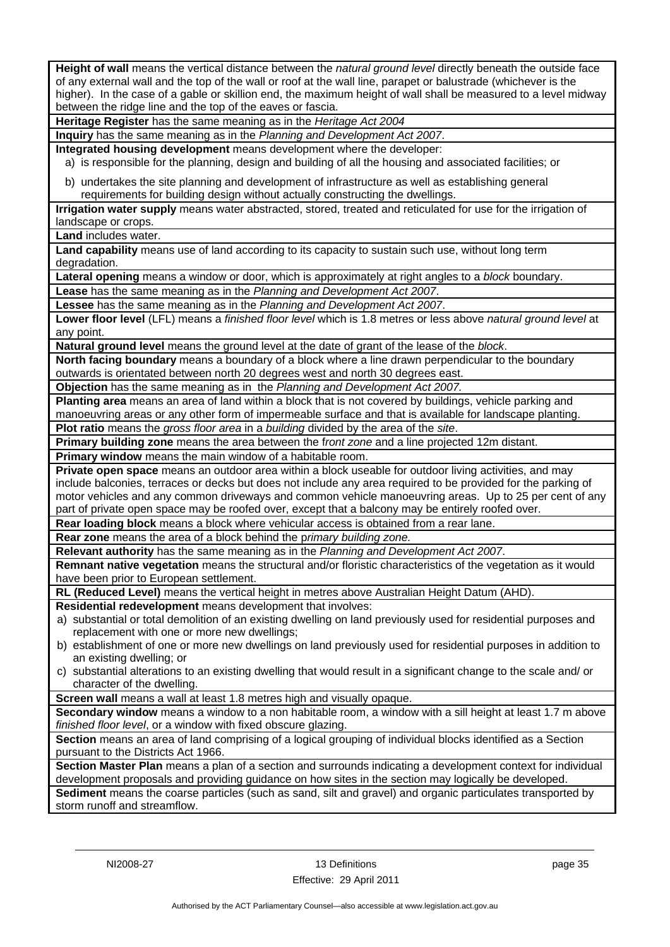**Height of wall** means the vertical distance between the *natural ground level* directly beneath the outside face of any external wall and the top of the wall or roof at the wall line, parapet or balustrade (whichever is the higher). In the case of a gable or skillion end, the maximum height of wall shall be measured to a level midway between the ridge line and the top of the eaves or fascia. **Heritage Register** has the same meaning as in the *Heritage Act 2004* **Inquiry** has the same meaning as in the *Planning and Development Act 2007*. **Integrated housing development** means development where the developer: a) is responsible for the planning, design and building of all the housing and associated facilities; or b) undertakes the site planning and development of infrastructure as well as establishing general requirements for building design without actually constructing the dwellings. **Irrigation water supply** means water abstracted, stored, treated and reticulated for use for the irrigation of landscape or crops. **Land** includes water. **Land capability** means use of land according to its capacity to sustain such use, without long term degradation. **Lateral opening** means a window or door, which is approximately at right angles to a *block* boundary. **Lease** has the same meaning as in the *Planning and Development Act 2007*. **Lessee** has the same meaning as in the *Planning and Development Act 2007*. **Lower floor level** (LFL) means a *finished floor level* which is 1.8 metres or less above *natural ground level* at any point. **Natural ground level** means the ground level at the date of grant of the lease of the *block*. **North facing boundary** means a boundary of a block where a line drawn perpendicular to the boundary outwards is orientated between north 20 degrees west and north 30 degrees east. **Objection** has the same meaning as in the *Planning and Development Act 2007.* **Planting area** means an area of land within a block that is not covered by buildings, vehicle parking and manoeuvring areas or any other form of impermeable surface and that is available for landscape planting. **Plot ratio** means the *gross floor area* in a *building* divided by the area of the *site*. **Primary building zone** means the area between the f*ront zone* and a line projected 12m distant. **Primary window** means the main window of a habitable room. **Private open space** means an outdoor area within a block useable for outdoor living activities, and may include balconies, terraces or decks but does not include any area required to be provided for the parking of motor vehicles and any common driveways and common vehicle manoeuvring areas. Up to 25 per cent of any part of private open space may be roofed over, except that a balcony may be entirely roofed over. **Rear loading block** means a block where vehicular access is obtained from a rear lane. **Rear zone** means the area of a block behind the p*rimary building zone.* **Relevant authority** has the same meaning as in the *Planning and Development Act 2007*. **Remnant native vegetation** means the structural and/or floristic characteristics of the vegetation as it would have been prior to European settlement. **RL (Reduced Level)** means the vertical height in metres above Australian Height Datum (AHD). **Residential redevelopment** means development that involves: a) substantial or total demolition of an existing dwelling on land previously used for residential purposes and replacement with one or more new dwellings; b) establishment of one or more new dwellings on land previously used for residential purposes in addition to an existing dwelling; or c) substantial alterations to an existing dwelling that would result in a significant change to the scale and/ or character of the dwelling. **Screen wall** means a wall at least 1.8 metres high and visually opaque. **Secondary window** means a window to a non habitable room, a window with a sill height at least 1.7 m above *finished floor level*, or a window with fixed obscure glazing. **Section** means an area of land comprising of a logical grouping of individual blocks identified as a Section pursuant to the Districts Act 1966. **Section Master Plan** means a plan of a section and surrounds indicating a development context for individual development proposals and providing guidance on how sites in the section may logically be developed. **Sediment** means the coarse particles (such as sand, silt and gravel) and organic particulates transported by storm runoff and streamflow.